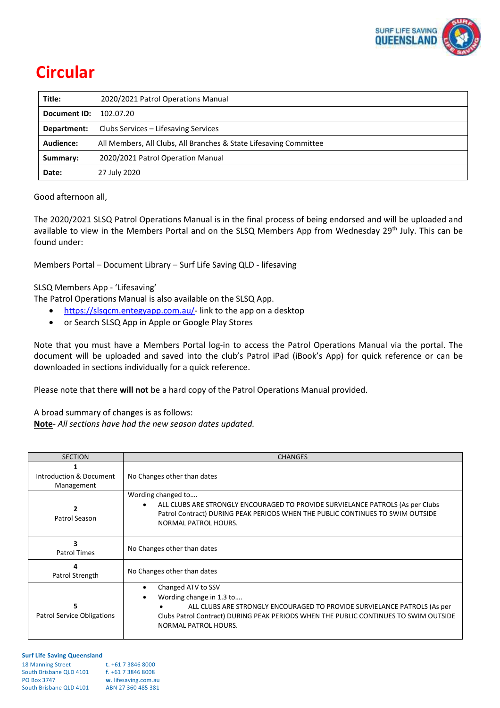

# **Circular**

| Title:              | 2020/2021 Patrol Operations Manual                                |  |
|---------------------|-------------------------------------------------------------------|--|
| <b>Document ID:</b> | 102.07.20                                                         |  |
| Department:         | Clubs Services – Lifesaving Services                              |  |
| Audience:           | All Members, All Clubs, All Branches & State Lifesaving Committee |  |
| Summary:            | 2020/2021 Patrol Operation Manual                                 |  |
| Date:               | 27 July 2020                                                      |  |

Good afternoon all,

The 2020/2021 SLSQ Patrol Operations Manual is in the final process of being endorsed and will be uploaded and available to view in the Members Portal and on the SLSQ Members App from Wednesday 29<sup>th</sup> July. This can be found under:

Members Portal – Document Library – Surf Life Saving QLD - lifesaving

SLSQ Members App - 'Lifesaving'

The Patrol Operations Manual is also available on the SLSQ App.

- [https://slsqcm.entegyapp.com.au/-](https://slsqcm.entegyapp.com.au/) link to the app on a desktop
- or Search SLSQ App in Apple or Google Play Stores

Note that you must have a Members Portal log-in to access the Patrol Operations Manual via the portal. The document will be uploaded and saved into the club's Patrol iPad (iBook's App) for quick reference or can be downloaded in sections individually for a quick reference.

Please note that there **will not** be a hard copy of the Patrol Operations Manual provided.

A broad summary of changes is as follows:

**Note***- All sections have had the new season dates updated.*

| <b>SECTION</b>                         | <b>CHANGES</b>                                                                                                                                                                                                                             |  |
|----------------------------------------|--------------------------------------------------------------------------------------------------------------------------------------------------------------------------------------------------------------------------------------------|--|
| Introduction & Document<br>Management  | No Changes other than dates                                                                                                                                                                                                                |  |
| Patrol Season                          | Wording changed to<br>ALL CLUBS ARE STRONGLY ENCOURAGED TO PROVIDE SURVIELANCE PATROLS (As per Clubs<br>Patrol Contract) DURING PEAK PERIODS WHEN THE PUBLIC CONTINUES TO SWIM OUTSIDE<br>NORMAL PATROL HOURS.                             |  |
| 3<br><b>Patrol Times</b>               | No Changes other than dates                                                                                                                                                                                                                |  |
| 4<br>Patrol Strength                   | No Changes other than dates                                                                                                                                                                                                                |  |
| 5<br><b>Patrol Service Obligations</b> | Changed ATV to SSV<br>Wording change in 1.3 to<br>ALL CLUBS ARE STRONGLY ENCOURAGED TO PROVIDE SURVIELANCE PATROLS (As per<br>Clubs Patrol Contract) DURING PEAK PERIODS WHEN THE PUBLIC CONTINUES TO SWIM OUTSIDE<br>NORMAL PATROL HOURS. |  |

| <b>18 Manning Street</b> | $t. +61738468000$    |
|--------------------------|----------------------|
| South Brisbane QLD 4101  | $f. +61738468008$    |
| <b>PO Box 3747</b>       | w. lifesaving.com.au |
| South Brisbane QLD 4101  | ABN 27 360 485 381   |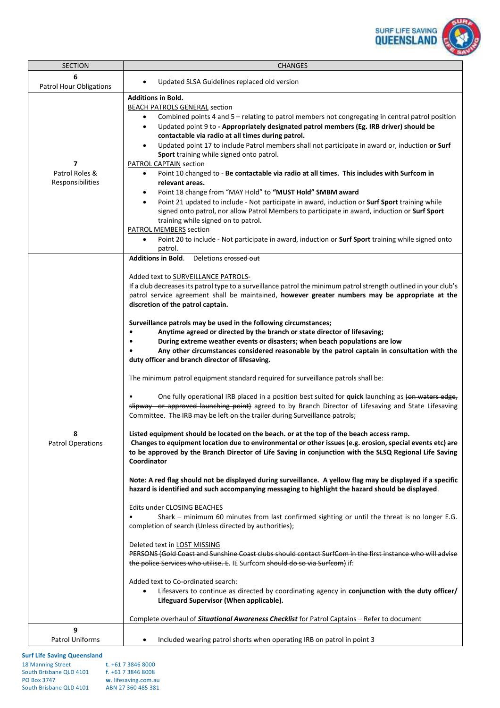

| <b>SECTION</b>                                       | <b>CHANGES</b>                                                                                                                                                                                                                                                                                                                                                                                                                                                                                                                                                                                                                                                                                                                                                                                                                                                                                                                                                                                                                                                                                                                                                                                                                                                                                                                                                                                                                                                                                                                                                                                                                                                                                                                                                                                                                                                                                                                                                                                                                                                                                                                                                                                                                                                                                                                                                                                               |  |
|------------------------------------------------------|--------------------------------------------------------------------------------------------------------------------------------------------------------------------------------------------------------------------------------------------------------------------------------------------------------------------------------------------------------------------------------------------------------------------------------------------------------------------------------------------------------------------------------------------------------------------------------------------------------------------------------------------------------------------------------------------------------------------------------------------------------------------------------------------------------------------------------------------------------------------------------------------------------------------------------------------------------------------------------------------------------------------------------------------------------------------------------------------------------------------------------------------------------------------------------------------------------------------------------------------------------------------------------------------------------------------------------------------------------------------------------------------------------------------------------------------------------------------------------------------------------------------------------------------------------------------------------------------------------------------------------------------------------------------------------------------------------------------------------------------------------------------------------------------------------------------------------------------------------------------------------------------------------------------------------------------------------------------------------------------------------------------------------------------------------------------------------------------------------------------------------------------------------------------------------------------------------------------------------------------------------------------------------------------------------------------------------------------------------------------------------------------------------------|--|
| 6<br><b>Patrol Hour Obligations</b>                  | Updated SLSA Guidelines replaced old version<br>$\bullet$                                                                                                                                                                                                                                                                                                                                                                                                                                                                                                                                                                                                                                                                                                                                                                                                                                                                                                                                                                                                                                                                                                                                                                                                                                                                                                                                                                                                                                                                                                                                                                                                                                                                                                                                                                                                                                                                                                                                                                                                                                                                                                                                                                                                                                                                                                                                                    |  |
| $\overline{ }$<br>Patrol Roles &<br>Responsibilities | <b>Additions in Bold.</b><br><b>BEACH PATROLS GENERAL section</b><br>Combined points 4 and 5 - relating to patrol members not congregating in central patrol position<br>٠<br>Updated point 9 to - Appropriately designated patrol members (Eg. IRB driver) should be<br>$\bullet$<br>contactable via radio at all times during patrol.<br>Updated point 17 to include Patrol members shall not participate in award or, induction or Surf<br>$\bullet$<br>Sport training while signed onto patrol.<br><b>PATROL CAPTAIN section</b><br>Point 10 changed to - Be contactable via radio at all times. This includes with Surfcom in<br>$\bullet$<br>relevant areas.<br>Point 18 change from "MAY Hold" to "MUST Hold" SMBM award<br>$\bullet$<br>Point 21 updated to include - Not participate in award, induction or Surf Sport training while<br>$\bullet$<br>signed onto patrol, nor allow Patrol Members to participate in award, induction or Surf Sport<br>training while signed on to patrol.<br><b>PATROL MEMBERS</b> section<br>Point 20 to include - Not participate in award, induction or Surf Sport training while signed onto<br>$\bullet$<br>patrol.                                                                                                                                                                                                                                                                                                                                                                                                                                                                                                                                                                                                                                                                                                                                                                                                                                                                                                                                                                                                                                                                                                                                                                                                                                           |  |
| <b>Patrol Operations</b>                             | <b>Additions in Bold.</b><br>Deletions crossed out<br>Added text to SURVEILLANCE PATROLS-<br>If a club decreases its patrol type to a surveillance patrol the minimum patrol strength outlined in your club's<br>patrol service agreement shall be maintained, however greater numbers may be appropriate at the<br>discretion of the patrol captain.<br>Surveillance patrols may be used in the following circumstances;<br>Anytime agreed or directed by the branch or state director of lifesaving;<br>During extreme weather events or disasters; when beach populations are low<br>Any other circumstances considered reasonable by the patrol captain in consultation with the<br>duty officer and branch director of lifesaving.<br>The minimum patrol equipment standard required for surveillance patrols shall be:<br>One fully operational IRB placed in a position best suited for quick launching as (on waters edge,<br>slipway or approved launching point) agreed to by Branch Director of Lifesaving and State Lifesaving<br>Committee. The IRB may be left on the trailer during Surveillance patrols;<br>Listed equipment should be located on the beach. or at the top of the beach access ramp.<br>Changes to equipment location due to environmental or other issues (e.g. erosion, special events etc) are<br>to be approved by the Branch Director of Life Saving in conjunction with the SLSQ Regional Life Saving<br>Coordinator<br>Note: A red flag should not be displayed during surveillance. A yellow flag may be displayed if a specific<br>hazard is identified and such accompanying messaging to highlight the hazard should be displayed.<br>Edits under CLOSING BEACHES<br>Shark - minimum 60 minutes from last confirmed sighting or until the threat is no longer E.G.<br>completion of search (Unless directed by authorities);<br>Deleted text in LOST MISSING<br>PERSONS (Gold Coast and Sunshine Coast clubs should contact SurfCom in the first instance who will advise<br>the police Services who utilise. E. IE Surfcom should do so via Surfcom) if:<br>Added text to Co-ordinated search:<br>Lifesavers to continue as directed by coordinating agency in conjunction with the duty officer/<br>$\bullet$<br>Lifeguard Supervisor (When applicable).<br>Complete overhaul of <i>Situational Awareness Checklist</i> for Patrol Captains - Refer to document |  |
| 9<br>Patrol Uniforms                                 | Included wearing patrol shorts when operating IRB on patrol in point 3<br>٠                                                                                                                                                                                                                                                                                                                                                                                                                                                                                                                                                                                                                                                                                                                                                                                                                                                                                                                                                                                                                                                                                                                                                                                                                                                                                                                                                                                                                                                                                                                                                                                                                                                                                                                                                                                                                                                                                                                                                                                                                                                                                                                                                                                                                                                                                                                                  |  |
|                                                      |                                                                                                                                                                                                                                                                                                                                                                                                                                                                                                                                                                                                                                                                                                                                                                                                                                                                                                                                                                                                                                                                                                                                                                                                                                                                                                                                                                                                                                                                                                                                                                                                                                                                                                                                                                                                                                                                                                                                                                                                                                                                                                                                                                                                                                                                                                                                                                                                              |  |

# **Surf Life Saving Queensland**<br>18 Manning Street

| <b>18 Manning Street</b> | $t. +61738468000$    |
|--------------------------|----------------------|
| South Brisbane QLD 4101  | f. +61 7 3846 8008   |
| <b>PO Box 3747</b>       | w. lifesaving.com.au |
| South Brisbane QLD 4101  | ABN 27 360 485 381   |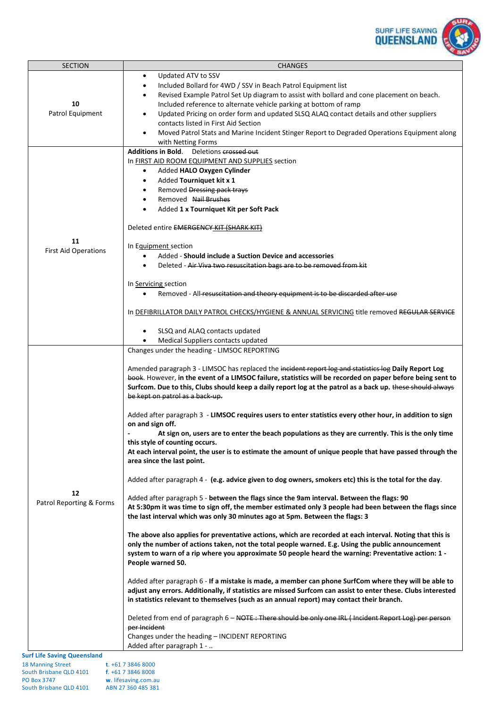

| <b>SECTION</b>                             | <b>CHANGES</b>                                                                                                |
|--------------------------------------------|---------------------------------------------------------------------------------------------------------------|
|                                            | Updated ATV to SSV<br>$\bullet$                                                                               |
|                                            | Included Bollard for 4WD / SSV in Beach Patrol Equipment list<br>$\bullet$                                    |
|                                            | Revised Example Patrol Set Up diagram to assist with bollard and cone placement on beach.<br>$\bullet$        |
| 10                                         | Included reference to alternate vehicle parking at bottom of ramp                                             |
| Patrol Equipment                           | Updated Pricing on order form and updated SLSQ ALAQ contact details and other suppliers<br>$\bullet$          |
|                                            | contacts listed in First Aid Section                                                                          |
|                                            | Moved Patrol Stats and Marine Incident Stinger Report to Degraded Operations Equipment along<br>$\bullet$     |
|                                            | with Netting Forms                                                                                            |
|                                            | Additions in Bold. Deletions crossed out                                                                      |
|                                            | In FIRST AID ROOM EQUIPMENT AND SUPPLIES section                                                              |
|                                            | Added HALO Oxygen Cylinder<br>$\bullet$                                                                       |
|                                            | Added Tourniquet kit x 1<br>$\bullet$                                                                         |
|                                            | Removed Dressing pack trays                                                                                   |
|                                            | Removed Nail Brushes<br>$\bullet$                                                                             |
|                                            | Added 1 x Tourniquet Kit per Soft Pack<br>$\bullet$                                                           |
|                                            | Deleted entire EMERGENCY KIT (SHARK KIT)                                                                      |
|                                            |                                                                                                               |
| 11                                         | In Equipment section                                                                                          |
| <b>First Aid Operations</b>                | Added - Should include a Suction Device and accessories                                                       |
|                                            | Deleted - Air Viva two resuscitation bags are to be removed from kit                                          |
|                                            |                                                                                                               |
|                                            | In Servicing section                                                                                          |
|                                            | Removed - All resuscitation and theory equipment is to be discarded after use<br>$\bullet$                    |
|                                            |                                                                                                               |
|                                            | In DEFIBRILLATOR DAILY PATROL CHECKS/HYGIENE & ANNUAL SERVICING title removed REGULAR SERVICE                 |
|                                            |                                                                                                               |
|                                            | SLSQ and ALAQ contacts updated<br>$\bullet$                                                                   |
|                                            | Medical Suppliers contacts updated                                                                            |
|                                            | Changes under the heading - LIMSOC REPORTING                                                                  |
|                                            | Amended paragraph 3 - LIMSOC has replaced the incident report log and statistics log Daily Report Log         |
|                                            | book. However, in the event of a LIMSOC failure, statistics will be recorded on paper before being sent to    |
|                                            | Surfcom. Due to this, Clubs should keep a daily report log at the patrol as a back up. these should always    |
|                                            | be kept on patrol as a back-up.                                                                               |
|                                            |                                                                                                               |
|                                            | Added after paragraph 3 - LIMSOC requires users to enter statistics every other hour, in addition to sign     |
|                                            | on and sign off.                                                                                              |
|                                            | At sign on, users are to enter the beach populations as they are currently. This is the only time             |
|                                            | this style of counting occurs.                                                                                |
|                                            | At each interval point, the user is to estimate the amount of unique people that have passed through the      |
|                                            | area since the last point.                                                                                    |
|                                            |                                                                                                               |
|                                            | Added after paragraph 4 - (e.g. advice given to dog owners, smokers etc) this is the total for the day.       |
| 12                                         | Added after paragraph 5 - between the flags since the 9am interval. Between the flags: 90                     |
| Patrol Reporting & Forms                   | At 5:30pm it was time to sign off, the member estimated only 3 people had been between the flags since        |
|                                            | the last interval which was only 30 minutes ago at 5pm. Between the flags: 3                                  |
|                                            |                                                                                                               |
|                                            | The above also applies for preventative actions, which are recorded at each interval. Noting that this is     |
|                                            | only the number of actions taken, not the total people warned. E.g. Using the public announcement             |
|                                            | system to warn of a rip where you approximate 50 people heard the warning: Preventative action: 1 -           |
|                                            | People warned 50.                                                                                             |
|                                            |                                                                                                               |
|                                            | Added after paragraph 6 - If a mistake is made, a member can phone SurfCom where they will be able to         |
|                                            | adjust any errors. Additionally, if statistics are missed Surfcom can assist to enter these. Clubs interested |
|                                            | in statistics relevant to themselves (such as an annual report) may contact their branch.                     |
|                                            | Deleted from end of paragraph 6 – NOTE: There should be only one IRL (Incident Report Log) per person         |
|                                            | per Incident                                                                                                  |
|                                            | Changes under the heading - INCIDENT REPORTING                                                                |
|                                            | Added after paragraph 1 -                                                                                     |
| <b>Surf Life Saving Queensland</b>         |                                                                                                               |
| <b>18 Manning Street</b>                   | $t. +61738468000$                                                                                             |
| South Brisbane QLD 4101 f. +61 7 3846 8008 |                                                                                                               |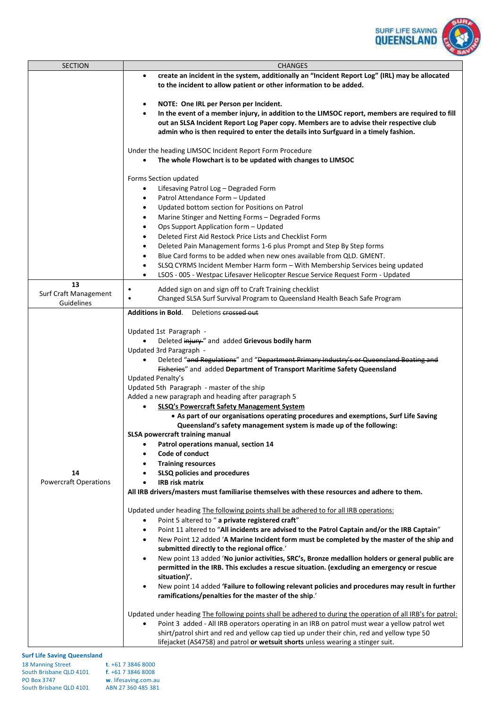

| <b>SECTION</b>               | <b>CHANGES</b>                                                                                                                                                                                                            |  |
|------------------------------|---------------------------------------------------------------------------------------------------------------------------------------------------------------------------------------------------------------------------|--|
|                              | create an incident in the system, additionally an "Incident Report Log" (IRL) may be allocated<br>$\bullet$<br>to the incident to allow patient or other information to be added.                                         |  |
|                              | NOTE: One IRL per Person per Incident.<br>$\bullet$<br>In the event of a member injury, in addition to the LIMSOC report, members are required to fill<br>$\bullet$                                                       |  |
|                              | out an SLSA Incident Report Log Paper copy. Members are to advise their respective club<br>admin who is then required to enter the details into Surfguard in a timely fashion.                                            |  |
|                              | Under the heading LIMSOC Incident Report Form Procedure<br>The whole Flowchart is to be updated with changes to LIMSOC                                                                                                    |  |
|                              | Forms Section updated                                                                                                                                                                                                     |  |
|                              | Lifesaving Patrol Log - Degraded Form<br>$\bullet$                                                                                                                                                                        |  |
|                              | Patrol Attendance Form - Updated<br>$\bullet$                                                                                                                                                                             |  |
|                              | Updated bottom section for Positions on Patrol<br>$\bullet$                                                                                                                                                               |  |
|                              | Marine Stinger and Netting Forms - Degraded Forms<br>$\bullet$                                                                                                                                                            |  |
|                              | Ops Support Application form - Updated<br>$\bullet$<br>Deleted First Aid Restock Price Lists and Checklist Form<br>$\bullet$                                                                                              |  |
|                              | Deleted Pain Management forms 1-6 plus Prompt and Step By Step forms<br>$\bullet$                                                                                                                                         |  |
|                              | Blue Card forms to be added when new ones available from QLD. GMENT.<br>$\bullet$                                                                                                                                         |  |
|                              | SLSQ CYRMS Incident Member Harm form - With Membership Services being updated<br>$\bullet$                                                                                                                                |  |
|                              | LSOS - 005 - Westpac Lifesaver Helicopter Rescue Service Request Form - Updated                                                                                                                                           |  |
| 13                           | Added sign on and sign off to Craft Training checklist<br>$\bullet$                                                                                                                                                       |  |
| Surf Craft Management        | Changed SLSA Surf Survival Program to Queensland Health Beach Safe Program<br>$\bullet$                                                                                                                                   |  |
| Guidelines                   | Additions in Bold. Deletions crossed out                                                                                                                                                                                  |  |
|                              |                                                                                                                                                                                                                           |  |
|                              | Updated 1st Paragraph -                                                                                                                                                                                                   |  |
|                              | Deleted injury" and added Grievous bodily harm                                                                                                                                                                            |  |
|                              | Updated 3rd Paragraph -                                                                                                                                                                                                   |  |
|                              | Deleted "and Regulations" and "Department Primary Industry's or Queensland Boating and                                                                                                                                    |  |
|                              | Fisheries" and added Department of Transport Maritime Safety Queensland<br>Updated Penalty's                                                                                                                              |  |
|                              | Updated 5th Paragraph - master of the ship                                                                                                                                                                                |  |
|                              | Added a new paragraph and heading after paragraph 5                                                                                                                                                                       |  |
|                              | <b>SLSQ's Powercraft Safety Management System</b>                                                                                                                                                                         |  |
|                              | • As part of our organisations operating procedures and exemptions, Surf Life Saving<br>Queensland's safety management system is made up of the following:                                                                |  |
|                              | <b>SLSA powercraft training manual</b>                                                                                                                                                                                    |  |
|                              | Patrol operations manual, section 14<br>Code of conduct                                                                                                                                                                   |  |
|                              | <b>Training resources</b>                                                                                                                                                                                                 |  |
| 14                           | <b>SLSQ policies and procedures</b>                                                                                                                                                                                       |  |
| <b>Powercraft Operations</b> | <b>IRB risk matrix</b>                                                                                                                                                                                                    |  |
|                              | All IRB drivers/masters must familiarise themselves with these resources and adhere to them.                                                                                                                              |  |
|                              | Updated under heading The following points shall be adhered to for all IRB operations:                                                                                                                                    |  |
|                              | Point 5 altered to " a private registered craft"<br>$\bullet$                                                                                                                                                             |  |
|                              | Point 11 altered to "All incidents are advised to the Patrol Captain and/or the IRB Captain"<br>$\bullet$                                                                                                                 |  |
|                              | New Point 12 added 'A Marine Incident form must be completed by the master of the ship and<br>$\bullet$<br>submitted directly to the regional office.'                                                                    |  |
|                              | New point 13 added 'No junior activities, SRC's, Bronze medallion holders or general public are<br>$\bullet$<br>permitted in the IRB. This excludes a rescue situation. (excluding an emergency or rescue<br>situation)'. |  |
|                              | New point 14 added 'Failure to following relevant policies and procedures may result in further<br>$\bullet$<br>ramifications/penalties for the master of the ship.'                                                      |  |
|                              | Updated under heading The following points shall be adhered to during the operation of all IRB's for patrol:                                                                                                              |  |
|                              | Point 3 added - All IRB operators operating in an IRB on patrol must wear a yellow patrol wet                                                                                                                             |  |
|                              | shirt/patrol shirt and red and yellow cap tied up under their chin, red and yellow type 50<br>lifejacket (AS4758) and patrol or wetsuit shorts unless wearing a stinger suit.                                             |  |
|                              |                                                                                                                                                                                                                           |  |

| <b>18 Manning Street</b> | $t. +61738468000$    |
|--------------------------|----------------------|
| South Brisbane QLD 4101  | $f. +61738468008$    |
| <b>PO Box 3747</b>       | w. lifesaving.com.au |
| South Brisbane QLD 4101  | ABN 27 360 485 381   |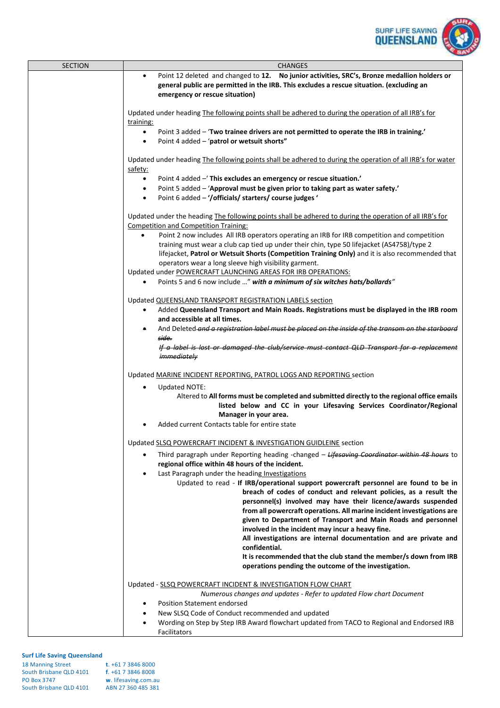

| <b>SECTION</b>                                | <b>CHANGES</b>                                                                                                                                                                                                                                                                                                                                                                                                                                                                                                                                                 |
|-----------------------------------------------|----------------------------------------------------------------------------------------------------------------------------------------------------------------------------------------------------------------------------------------------------------------------------------------------------------------------------------------------------------------------------------------------------------------------------------------------------------------------------------------------------------------------------------------------------------------|
|                                               | Point 12 deleted and changed to 12. No junior activities, SRC's, Bronze medallion holders or<br>$\bullet$<br>general public are permitted in the IRB. This excludes a rescue situation. (excluding an<br>emergency or rescue situation)                                                                                                                                                                                                                                                                                                                        |
|                                               |                                                                                                                                                                                                                                                                                                                                                                                                                                                                                                                                                                |
|                                               | Updated under heading The following points shall be adhered to during the operation of all IRB's for<br>training:                                                                                                                                                                                                                                                                                                                                                                                                                                              |
|                                               | Point 3 added - 'Two trainee drivers are not permitted to operate the IRB in training.'<br>$\bullet$                                                                                                                                                                                                                                                                                                                                                                                                                                                           |
|                                               | Point 4 added - 'patrol or wetsuit shorts"<br>$\bullet$                                                                                                                                                                                                                                                                                                                                                                                                                                                                                                        |
|                                               | Updated under heading The following points shall be adhered to during the operation of all IRB's for water<br>safety:                                                                                                                                                                                                                                                                                                                                                                                                                                          |
|                                               | Point 4 added - This excludes an emergency or rescue situation.'<br>$\bullet$                                                                                                                                                                                                                                                                                                                                                                                                                                                                                  |
|                                               | Point 5 added - 'Approval must be given prior to taking part as water safety.'<br>$\bullet$<br>Point 6 added - '/officials/ starters/ course judges '<br>$\bullet$                                                                                                                                                                                                                                                                                                                                                                                             |
|                                               |                                                                                                                                                                                                                                                                                                                                                                                                                                                                                                                                                                |
|                                               | Updated under the heading The following points shall be adhered to during the operation of all IRB's for<br><b>Competition and Competition Training:</b>                                                                                                                                                                                                                                                                                                                                                                                                       |
|                                               | Point 2 now includes All IRB operators operating an IRB for IRB competition and competition<br>training must wear a club cap tied up under their chin, type 50 lifejacket (AS4758)/type 2<br>lifejacket, Patrol or Wetsuit Shorts (Competition Training Only) and it is also recommended that                                                                                                                                                                                                                                                                  |
|                                               | operators wear a long sleeve high visibility garment.<br>Updated under POWERCRAFT LAUNCHING AREAS FOR IRB OPERATIONS:                                                                                                                                                                                                                                                                                                                                                                                                                                          |
|                                               | Points 5 and 6 now include " with a minimum of six witches hats/bollards"<br>$\bullet$                                                                                                                                                                                                                                                                                                                                                                                                                                                                         |
|                                               | Updated QUEENSLAND TRANSPORT REGISTRATION LABELS section                                                                                                                                                                                                                                                                                                                                                                                                                                                                                                       |
|                                               | Added Queensland Transport and Main Roads. Registrations must be displayed in the IRB room<br>$\bullet$<br>and accessible at all times.                                                                                                                                                                                                                                                                                                                                                                                                                        |
|                                               | And Deleted-and a registration label must be placed on the inside of the transom on the starboard<br>۰                                                                                                                                                                                                                                                                                                                                                                                                                                                         |
|                                               | side.<br>If a label is lost or damaged the club/service must contact QLD Transport for a replacement<br><i>immediately</i>                                                                                                                                                                                                                                                                                                                                                                                                                                     |
|                                               |                                                                                                                                                                                                                                                                                                                                                                                                                                                                                                                                                                |
|                                               | Updated MARINE INCIDENT REPORTING, PATROL LOGS AND REPORTING section                                                                                                                                                                                                                                                                                                                                                                                                                                                                                           |
|                                               | <b>Updated NOTE:</b><br>Altered to All forms must be completed and submitted directly to the regional office emails<br>listed below and CC in your Lifesaving Services Coordinator/Regional<br>Manager in your area.                                                                                                                                                                                                                                                                                                                                           |
| Added current Contacts table for entire state |                                                                                                                                                                                                                                                                                                                                                                                                                                                                                                                                                                |
|                                               | Updated SLSQ POWERCRAFT INCIDENT & INVESTIGATION GUIDLEINE section                                                                                                                                                                                                                                                                                                                                                                                                                                                                                             |
|                                               | Third paragraph under Reporting heading -changed - Lifesaving Coordinator within 48 hours to<br>٠<br>regional office within 48 hours of the incident.                                                                                                                                                                                                                                                                                                                                                                                                          |
|                                               | Last Paragraph under the heading Investigations<br>$\bullet$<br>Updated to read - If IRB/operational support powercraft personnel are found to be in<br>breach of codes of conduct and relevant policies, as a result the<br>personnel(s) involved may have their licence/awards suspended<br>from all powercraft operations. All marine incident investigations are<br>given to Department of Transport and Main Roads and personnel<br>involved in the incident may incur a heavy fine.<br>All investigations are internal documentation and are private and |
|                                               | confidential.<br>It is recommended that the club stand the member/s down from IRB                                                                                                                                                                                                                                                                                                                                                                                                                                                                              |
|                                               | operations pending the outcome of the investigation.                                                                                                                                                                                                                                                                                                                                                                                                                                                                                                           |
|                                               | Updated - SLSQ POWERCRAFT INCIDENT & INVESTIGATION FLOW CHART<br>Numerous changes and updates - Refer to updated Flow chart Document<br><b>Position Statement endorsed</b>                                                                                                                                                                                                                                                                                                                                                                                     |
|                                               | New SLSQ Code of Conduct recommended and updated                                                                                                                                                                                                                                                                                                                                                                                                                                                                                                               |
|                                               | Wording on Step by Step IRB Award flowchart updated from TACO to Regional and Endorsed IRB<br>Facilitators                                                                                                                                                                                                                                                                                                                                                                                                                                                     |

| <b>18 Manning Street</b> | $t. +61738468000$    |
|--------------------------|----------------------|
| South Brisbane QLD 4101  | $f. +61738468008$    |
| <b>PO Box 3747</b>       | w. lifesaving.com.au |
| South Brisbane QLD 4101  | ABN 27 360 485 381   |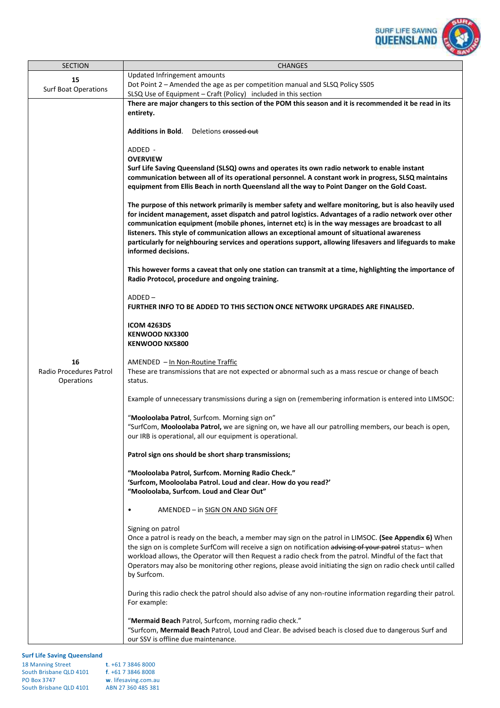

| <b>SECTION</b>                              | <b>CHANGES</b>                                                                                                                                                                                                                                                                                                                                                                                                                                                                                                                                             |  |
|---------------------------------------------|------------------------------------------------------------------------------------------------------------------------------------------------------------------------------------------------------------------------------------------------------------------------------------------------------------------------------------------------------------------------------------------------------------------------------------------------------------------------------------------------------------------------------------------------------------|--|
| 15                                          | Updated Infringement amounts                                                                                                                                                                                                                                                                                                                                                                                                                                                                                                                               |  |
| <b>Surf Boat Operations</b>                 | Dot Point 2 - Amended the age as per competition manual and SLSQ Policy SS05<br>SLSQ Use of Equipment - Craft (Policy) included in this section                                                                                                                                                                                                                                                                                                                                                                                                            |  |
|                                             | There are major changers to this section of the POM this season and it is recommended it be read in its                                                                                                                                                                                                                                                                                                                                                                                                                                                    |  |
|                                             | entirety.                                                                                                                                                                                                                                                                                                                                                                                                                                                                                                                                                  |  |
|                                             |                                                                                                                                                                                                                                                                                                                                                                                                                                                                                                                                                            |  |
|                                             | <b>Additions in Bold.</b><br>Deletions crossed out                                                                                                                                                                                                                                                                                                                                                                                                                                                                                                         |  |
|                                             | ADDED -                                                                                                                                                                                                                                                                                                                                                                                                                                                                                                                                                    |  |
|                                             | <b>OVERVIEW</b>                                                                                                                                                                                                                                                                                                                                                                                                                                                                                                                                            |  |
|                                             | Surf Life Saving Queensland (SLSQ) owns and operates its own radio network to enable instant                                                                                                                                                                                                                                                                                                                                                                                                                                                               |  |
|                                             | communication between all of its operational personnel. A constant work in progress, SLSQ maintains                                                                                                                                                                                                                                                                                                                                                                                                                                                        |  |
|                                             | equipment from Ellis Beach in north Queensland all the way to Point Danger on the Gold Coast.                                                                                                                                                                                                                                                                                                                                                                                                                                                              |  |
|                                             | The purpose of this network primarily is member safety and welfare monitoring, but is also heavily used<br>for incident management, asset dispatch and patrol logistics. Advantages of a radio network over other<br>communication equipment (mobile phones, internet etc) is in the way messages are broadcast to all<br>listeners. This style of communication allows an exceptional amount of situational awareness<br>particularly for neighbouring services and operations support, allowing lifesavers and lifeguards to make<br>informed decisions. |  |
|                                             | This however forms a caveat that only one station can transmit at a time, highlighting the importance of<br>Radio Protocol, procedure and ongoing training.                                                                                                                                                                                                                                                                                                                                                                                                |  |
| 16<br>Radio Procedures Patrol<br>Operations | ADDED-<br>FURTHER INFO TO BE ADDED TO THIS SECTION ONCE NETWORK UPGRADES ARE FINALISED.                                                                                                                                                                                                                                                                                                                                                                                                                                                                    |  |
|                                             | <b>ICOM 4263DS</b><br><b>KENWOOD NX3300</b><br><b>KENWOOD NX5800</b>                                                                                                                                                                                                                                                                                                                                                                                                                                                                                       |  |
|                                             | AMENDED - In Non-Routine Traffic<br>These are transmissions that are not expected or abnormal such as a mass rescue or change of beach<br>status.                                                                                                                                                                                                                                                                                                                                                                                                          |  |
|                                             | Example of unnecessary transmissions during a sign on (remembering information is entered into LIMSOC:                                                                                                                                                                                                                                                                                                                                                                                                                                                     |  |
|                                             | "Mooloolaba Patrol, Surfcom. Morning sign on"                                                                                                                                                                                                                                                                                                                                                                                                                                                                                                              |  |
|                                             | "SurfCom, Mooloolaba Patrol, we are signing on, we have all our patrolling members, our beach is open,<br>our IRB is operational, all our equipment is operational.                                                                                                                                                                                                                                                                                                                                                                                        |  |
|                                             | Patrol sign ons should be short sharp transmissions;                                                                                                                                                                                                                                                                                                                                                                                                                                                                                                       |  |
|                                             | "Mooloolaba Patrol, Surfcom. Morning Radio Check."<br>'Surfcom, Mooloolaba Patrol. Loud and clear. How do you read?'<br>"Mooloolaba, Surfcom. Loud and Clear Out"                                                                                                                                                                                                                                                                                                                                                                                          |  |
|                                             |                                                                                                                                                                                                                                                                                                                                                                                                                                                                                                                                                            |  |
|                                             | AMENDED - in SIGN ON AND SIGN OFF<br>$\bullet$                                                                                                                                                                                                                                                                                                                                                                                                                                                                                                             |  |
|                                             | Signing on patrol                                                                                                                                                                                                                                                                                                                                                                                                                                                                                                                                          |  |
|                                             | Once a patrol is ready on the beach, a member may sign on the patrol in LIMSOC. (See Appendix 6) When                                                                                                                                                                                                                                                                                                                                                                                                                                                      |  |
|                                             | the sign on is complete SurfCom will receive a sign on notification advising of your patrol status- when<br>workload allows, the Operator will then Request a radio check from the patrol. Mindful of the fact that                                                                                                                                                                                                                                                                                                                                        |  |
|                                             | Operators may also be monitoring other regions, please avoid initiating the sign on radio check until called<br>by Surfcom.                                                                                                                                                                                                                                                                                                                                                                                                                                |  |
|                                             | During this radio check the patrol should also advise of any non-routine information regarding their patrol.<br>For example:                                                                                                                                                                                                                                                                                                                                                                                                                               |  |
|                                             | "Mermaid Beach Patrol, Surfcom, morning radio check."                                                                                                                                                                                                                                                                                                                                                                                                                                                                                                      |  |
|                                             | "Surfcom, Mermaid Beach Patrol, Loud and Clear. Be advised beach is closed due to dangerous Surf and<br>our SSV is offline due maintenance.                                                                                                                                                                                                                                                                                                                                                                                                                |  |
|                                             |                                                                                                                                                                                                                                                                                                                                                                                                                                                                                                                                                            |  |

| <b>18 Manning Street</b> | $t. +61738468000$    |
|--------------------------|----------------------|
| South Brisbane QLD 4101  | f. +61 7 3846 8008   |
| <b>PO Box 3747</b>       | w. lifesaving.com.au |
| South Brisbane QLD 4101  | ABN 27 360 485 381   |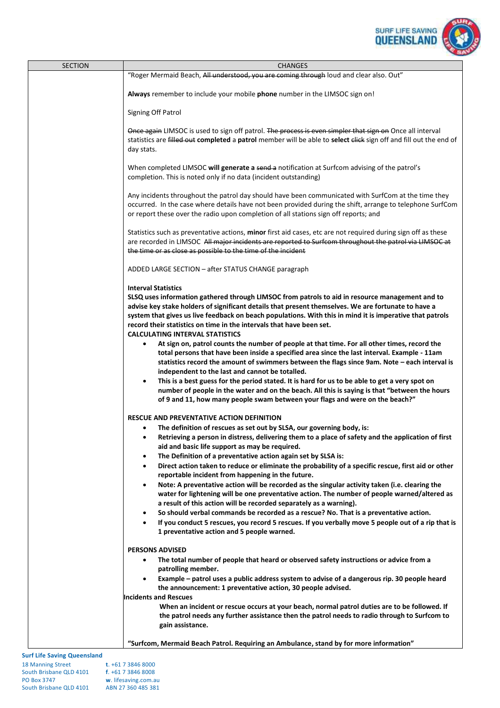

| <b>SECTION</b> | <b>CHANGES</b>                                                                                                                                                                                                                                                                                                                                                                                                                                                                                                                                                                                                                                                |
|----------------|---------------------------------------------------------------------------------------------------------------------------------------------------------------------------------------------------------------------------------------------------------------------------------------------------------------------------------------------------------------------------------------------------------------------------------------------------------------------------------------------------------------------------------------------------------------------------------------------------------------------------------------------------------------|
|                | "Roger Mermaid Beach, All understood, you are coming through loud and clear also. Out"                                                                                                                                                                                                                                                                                                                                                                                                                                                                                                                                                                        |
|                | Always remember to include your mobile phone number in the LIMSOC sign on!                                                                                                                                                                                                                                                                                                                                                                                                                                                                                                                                                                                    |
|                | Signing Off Patrol                                                                                                                                                                                                                                                                                                                                                                                                                                                                                                                                                                                                                                            |
|                | Once again LIMSOC is used to sign off patrol. The process is even simpler that sign on Once all interval<br>statistics are filled out completed a patrol member will be able to select click sign off and fill out the end of<br>day stats.                                                                                                                                                                                                                                                                                                                                                                                                                   |
|                | When completed LIMSOC will generate a send a notification at Surfcom advising of the patrol's<br>completion. This is noted only if no data (incident outstanding)                                                                                                                                                                                                                                                                                                                                                                                                                                                                                             |
|                | Any incidents throughout the patrol day should have been communicated with SurfCom at the time they<br>occurred. In the case where details have not been provided during the shift, arrange to telephone SurfCom<br>or report these over the radio upon completion of all stations sign off reports; and                                                                                                                                                                                                                                                                                                                                                      |
|                | Statistics such as preventative actions, minor first aid cases, etc are not required during sign off as these<br>are recorded in LIMSOC All major incidents are reported to Surfcom throughout the patrol via LIMSOC at<br>the time or as close as possible to the time of the incident                                                                                                                                                                                                                                                                                                                                                                       |
|                | ADDED LARGE SECTION - after STATUS CHANGE paragraph                                                                                                                                                                                                                                                                                                                                                                                                                                                                                                                                                                                                           |
|                | <b>Interval Statistics</b><br>SLSQ uses information gathered through LIMSOC from patrols to aid in resource management and to<br>advise key stake holders of significant details that present themselves. We are fortunate to have a<br>system that gives us live feedback on beach populations. With this in mind it is imperative that patrols<br>record their statistics on time in the intervals that have been set.<br><b>CALCULATING INTERVAL STATISTICS</b>                                                                                                                                                                                            |
|                | At sign on, patrol counts the number of people at that time. For all other times, record the<br>$\bullet$<br>total persons that have been inside a specified area since the last interval. Example - 11am<br>statistics record the amount of swimmers between the flags since 9am. Note - each interval is<br>independent to the last and cannot be totalled.<br>This is a best guess for the period stated. It is hard for us to be able to get a very spot on<br>$\bullet$<br>number of people in the water and on the beach. All this is saying is that "between the hours<br>of 9 and 11, how many people swam between your flags and were on the beach?" |
|                | <b>RESCUE AND PREVENTATIVE ACTION DEFINITION</b>                                                                                                                                                                                                                                                                                                                                                                                                                                                                                                                                                                                                              |
|                | The definition of rescues as set out by SLSA, our governing body, is:<br>$\bullet$<br>$\bullet$<br>Retrieving a person in distress, delivering them to a place of safety and the application of first<br>aid and basic life support as may be required.                                                                                                                                                                                                                                                                                                                                                                                                       |
|                | The Definition of a preventative action again set by SLSA is:<br>$\bullet$<br>Direct action taken to reduce or eliminate the probability of a specific rescue, first aid or other<br>$\bullet$                                                                                                                                                                                                                                                                                                                                                                                                                                                                |
|                | reportable incident from happening in the future.<br>Note: A preventative action will be recorded as the singular activity taken (i.e. clearing the<br>$\bullet$<br>water for lightening will be one preventative action. The number of people warned/altered as<br>a result of this action will be recorded separately as a warning).                                                                                                                                                                                                                                                                                                                        |
|                | So should verbal commands be recorded as a rescue? No. That is a preventative action.<br>$\bullet$<br>If you conduct 5 rescues, you record 5 rescues. If you verbally move 5 people out of a rip that is<br>1 preventative action and 5 people warned.                                                                                                                                                                                                                                                                                                                                                                                                        |
|                | <b>PERSONS ADVISED</b><br>The total number of people that heard or observed safety instructions or advice from a<br>$\bullet$<br>patrolling member.                                                                                                                                                                                                                                                                                                                                                                                                                                                                                                           |
|                | Example – patrol uses a public address system to advise of a dangerous rip. 30 people heard<br>$\bullet$<br>the announcement: 1 preventative action, 30 people advised.                                                                                                                                                                                                                                                                                                                                                                                                                                                                                       |
|                | <b>Incidents and Rescues</b><br>When an incident or rescue occurs at your beach, normal patrol duties are to be followed. If<br>the patrol needs any further assistance then the patrol needs to radio through to Surfcom to<br>gain assistance.                                                                                                                                                                                                                                                                                                                                                                                                              |
|                | "Surfcom, Mermaid Beach Patrol. Requiring an Ambulance, stand by for more information"                                                                                                                                                                                                                                                                                                                                                                                                                                                                                                                                                                        |

| <b>18 Manning Street</b> | $t. +61738468000$    |
|--------------------------|----------------------|
| South Brisbane QLD 4101  | $f. +61738468008$    |
| <b>PO Box 3747</b>       | w. lifesaving.com.au |
| South Brisbane QLD 4101  | ABN 27 360 485 381   |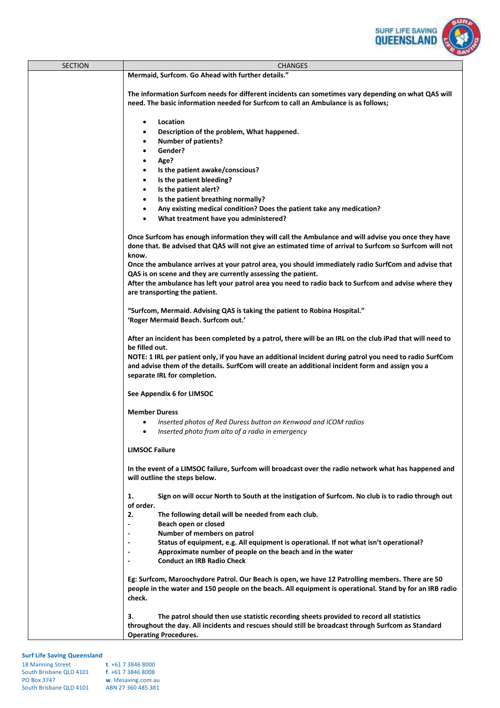

| <b>SECTION</b> | <b>CHANGES</b>                                                                                            |  |  |
|----------------|-----------------------------------------------------------------------------------------------------------|--|--|
|                | Mermaid, Surfcom. Go Ahead with further details."                                                         |  |  |
|                |                                                                                                           |  |  |
|                | The information Surfcom needs for different incidents can sometimes vary depending on what QAS will       |  |  |
|                | need. The basic information needed for Surfcom to call an Ambulance is as follows;                        |  |  |
|                |                                                                                                           |  |  |
|                | Location                                                                                                  |  |  |
|                | $\bullet$                                                                                                 |  |  |
|                | Description of the problem, What happened.<br>$\bullet$                                                   |  |  |
|                | <b>Number of patients?</b><br>$\bullet$                                                                   |  |  |
|                | Gender?                                                                                                   |  |  |
|                | Age?<br>$\bullet$                                                                                         |  |  |
|                | Is the patient awake/conscious?<br>$\bullet$                                                              |  |  |
|                | Is the patient bleeding?<br>$\bullet$                                                                     |  |  |
|                | Is the patient alert?<br>$\bullet$                                                                        |  |  |
|                | Is the patient breathing normally?<br>$\bullet$                                                           |  |  |
|                | Any existing medical condition? Does the patient take any medication?<br>$\bullet$                        |  |  |
|                | What treatment have you administered?<br>$\bullet$                                                        |  |  |
|                |                                                                                                           |  |  |
|                | Once Surfcom has enough information they will call the Ambulance and will advise you once they have       |  |  |
|                | done that. Be advised that QAS will not give an estimated time of arrival to Surfcom so Surfcom will not  |  |  |
|                |                                                                                                           |  |  |
|                | know.                                                                                                     |  |  |
|                | Once the ambulance arrives at your patrol area, you should immediately radio SurfCom and advise that      |  |  |
|                | QAS is on scene and they are currently assessing the patient.                                             |  |  |
|                | After the ambulance has left your patrol area you need to radio back to Surfcom and advise where they     |  |  |
|                | are transporting the patient.                                                                             |  |  |
|                |                                                                                                           |  |  |
|                | "Surfcom, Mermaid. Advising QAS is taking the patient to Robina Hospital."                                |  |  |
|                | 'Roger Mermaid Beach. Surfcom out.'                                                                       |  |  |
|                |                                                                                                           |  |  |
|                | After an incident has been completed by a patrol, there will be an IRL on the club iPad that will need to |  |  |
|                | be filled out.                                                                                            |  |  |
|                | NOTE: 1 IRL per patient only, if you have an additional incident during patrol you need to radio SurfCom  |  |  |
|                | and advise them of the details. SurfCom will create an additional incident form and assign you a          |  |  |
|                | separate IRL for completion.                                                                              |  |  |
|                |                                                                                                           |  |  |
|                | See Appendix 6 for LIMSOC                                                                                 |  |  |
|                |                                                                                                           |  |  |
|                | <b>Member Duress</b>                                                                                      |  |  |
|                | Inserted photos of Red Duress button on Kenwood and ICOM radios                                           |  |  |
|                | Inserted photo from alto of a radio in emergency<br>$\bullet$                                             |  |  |
|                |                                                                                                           |  |  |
|                | <b>LIMSOC Failure</b>                                                                                     |  |  |
|                |                                                                                                           |  |  |
|                | In the event of a LIMSOC failure, Surfcom will broadcast over the radio network what has happened and     |  |  |
|                | will outline the steps below.                                                                             |  |  |
|                |                                                                                                           |  |  |
|                | Sign on will occur North to South at the instigation of Surfcom. No club is to radio through out<br>1.    |  |  |
|                | of order.                                                                                                 |  |  |
|                | 2.<br>The following detail will be needed from each club.                                                 |  |  |
|                | Beach open or closed<br>$\overline{\phantom{a}}$                                                          |  |  |
|                | Number of members on patrol<br>$\blacksquare$                                                             |  |  |
|                | Status of equipment, e.g. All equipment is operational. If not what isn't operational?<br>$\blacksquare$  |  |  |
|                | Approximate number of people on the beach and in the water<br>$\overline{\phantom{a}}$                    |  |  |
|                | <b>Conduct an IRB Radio Check</b>                                                                         |  |  |
|                |                                                                                                           |  |  |
|                | Eg: Surfcom, Maroochydore Patrol. Our Beach is open, we have 12 Patrolling members. There are 50          |  |  |
|                | people in the water and 150 people on the beach. All equipment is operational. Stand by for an IRB radio  |  |  |
|                | check.                                                                                                    |  |  |
|                |                                                                                                           |  |  |
|                | з.<br>The patrol should then use statistic recording sheets provided to record all statistics             |  |  |
|                | throughout the day. All incidents and rescues should still be broadcast through Surfcom as Standard       |  |  |
|                | <b>Operating Procedures.</b>                                                                              |  |  |
|                |                                                                                                           |  |  |

| <b>18 Manning Street</b> | $t. +61738468000$    |
|--------------------------|----------------------|
| South Brisbane QLD 4101  | $f. +61738468008$    |
| <b>PO Box 3747</b>       | w. lifesaving.com.au |
| South Brisbane QLD 4101  | ABN 27 360 485 381   |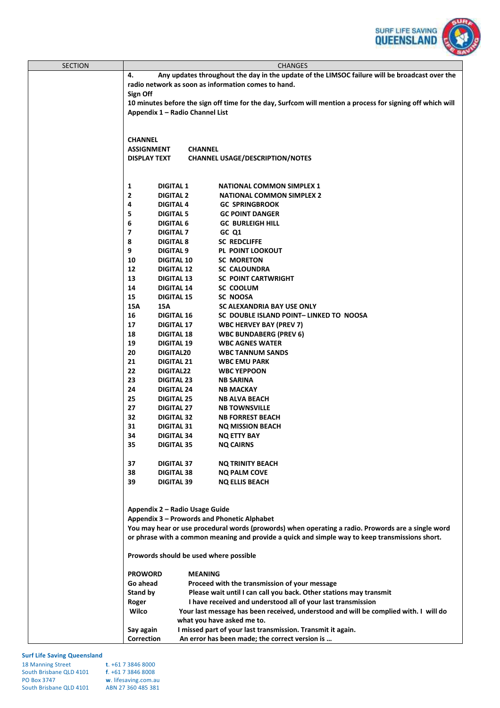

| <b>SECTION</b> | <b>CHANGES</b>                                                                                                                                    |                |                                                                                                 |
|----------------|---------------------------------------------------------------------------------------------------------------------------------------------------|----------------|-------------------------------------------------------------------------------------------------|
|                | Any updates throughout the day in the update of the LIMSOC failure will be broadcast over the<br>4.                                               |                |                                                                                                 |
|                | radio network as soon as information comes to hand.                                                                                               |                |                                                                                                 |
|                | Sign Off                                                                                                                                          |                |                                                                                                 |
|                | 10 minutes before the sign off time for the day, Surfcom will mention a process for signing off which will                                        |                |                                                                                                 |
|                | Appendix 1 - Radio Channel List                                                                                                                   |                |                                                                                                 |
|                |                                                                                                                                                   |                |                                                                                                 |
|                |                                                                                                                                                   |                |                                                                                                 |
|                | <b>CHANNEL</b>                                                                                                                                    |                |                                                                                                 |
|                | <b>ASSIGNMENT</b>                                                                                                                                 | <b>CHANNEL</b> |                                                                                                 |
|                | <b>DISPLAY TEXT</b>                                                                                                                               |                | <b>CHANNEL USAGE/DESCRIPTION/NOTES</b>                                                          |
|                |                                                                                                                                                   |                |                                                                                                 |
|                |                                                                                                                                                   |                |                                                                                                 |
|                | 1<br><b>DIGITAL 1</b>                                                                                                                             |                | <b>NATIONAL COMMON SIMPLEX 1</b>                                                                |
|                | $\mathbf{2}$<br><b>DIGITAL 2</b>                                                                                                                  |                | <b>NATIONAL COMMON SIMPLEX 2</b>                                                                |
|                | 4<br><b>DIGITAL 4</b>                                                                                                                             |                | <b>GC SPRINGBROOK</b>                                                                           |
|                | 5<br><b>DIGITAL 5</b>                                                                                                                             |                | <b>GC POINT DANGER</b>                                                                          |
|                | 6<br><b>DIGITAL 6</b>                                                                                                                             |                | <b>GC BURLEIGH HILL</b>                                                                         |
|                | 7<br><b>DIGITAL 7</b>                                                                                                                             |                | GC Q1                                                                                           |
|                | 8<br><b>DIGITAL 8</b>                                                                                                                             |                | <b>SC REDCLIFFE</b>                                                                             |
|                | 9<br><b>DIGITAL 9</b>                                                                                                                             |                | PL POINT LOOKOUT                                                                                |
|                | 10<br><b>DIGITAL 10</b><br>12                                                                                                                     |                | <b>SC MORETON</b><br><b>SC CALOUNDRA</b>                                                        |
|                | <b>DIGITAL 12</b><br>13<br><b>DIGITAL 13</b>                                                                                                      |                | <b>SC POINT CARTWRIGHT</b>                                                                      |
|                | 14<br><b>DIGITAL 14</b>                                                                                                                           |                | SC COOLUM                                                                                       |
|                | 15<br><b>DIGITAL 15</b>                                                                                                                           |                | <b>SC NOOSA</b>                                                                                 |
|                | 15A<br>15A                                                                                                                                        |                | SC ALEXANDRIA BAY USE ONLY                                                                      |
|                | 16<br><b>DIGITAL 16</b>                                                                                                                           |                | SC DOUBLE ISLAND POINT- LINKED TO NOOSA                                                         |
|                | 17<br><b>DIGITAL 17</b>                                                                                                                           |                | <b>WBC HERVEY BAY (PREV 7)</b>                                                                  |
|                | 18<br><b>DIGITAL 18</b>                                                                                                                           |                | <b>WBC BUNDABERG (PREV 6)</b>                                                                   |
|                | 19<br><b>DIGITAL 19</b>                                                                                                                           |                | <b>WBC AGNES WATER</b>                                                                          |
|                | 20<br>DIGITAL20                                                                                                                                   |                | <b>WBC TANNUM SANDS</b>                                                                         |
|                | 21<br><b>DIGITAL 21</b>                                                                                                                           |                | <b>WBC EMU PARK</b>                                                                             |
|                | 22<br>DIGITAL22                                                                                                                                   |                | <b>WBC YEPPOON</b>                                                                              |
|                | 23<br><b>DIGITAL 23</b>                                                                                                                           |                | <b>NB SARINA</b>                                                                                |
|                | 24<br><b>DIGITAL 24</b>                                                                                                                           |                | <b>NB MACKAY</b>                                                                                |
|                | 25<br><b>DIGITAL 25</b>                                                                                                                           |                | <b>NB ALVA BEACH</b>                                                                            |
|                | 27<br><b>DIGITAL 27</b>                                                                                                                           |                | <b>NB TOWNSVILLE</b>                                                                            |
|                | 32<br><b>DIGITAL 32</b>                                                                                                                           |                | <b>NB FORREST BEACH</b>                                                                         |
|                | 31<br><b>DIGITAL 31</b>                                                                                                                           |                | <b>NO MISSION BEACH</b>                                                                         |
|                | 34<br><b>DIGITAL 34</b>                                                                                                                           |                | NQ ETTY BAY                                                                                     |
|                | 35<br><b>DIGITAL 35</b>                                                                                                                           |                | <b>NQ CAIRNS</b>                                                                                |
|                |                                                                                                                                                   |                |                                                                                                 |
|                | 37<br><b>DIGITAL 37</b>                                                                                                                           |                | <b>NQ TRINITY BEACH</b>                                                                         |
|                | 38<br><b>DIGITAL 38</b>                                                                                                                           |                | <b>NQ PALM COVE</b>                                                                             |
|                | 39<br><b>DIGITAL 39</b>                                                                                                                           |                | <b>NQ ELLIS BEACH</b>                                                                           |
|                |                                                                                                                                                   |                |                                                                                                 |
|                | Appendix 2 - Radio Usage Guide                                                                                                                    |                |                                                                                                 |
|                |                                                                                                                                                   |                |                                                                                                 |
|                | Appendix 3 - Prowords and Phonetic Alphabet<br>You may hear or use procedural words (prowords) when operating a radio. Prowords are a single word |                |                                                                                                 |
|                |                                                                                                                                                   |                | or phrase with a common meaning and provide a quick and simple way to keep transmissions short. |
|                |                                                                                                                                                   |                |                                                                                                 |
|                | Prowords should be used where possible                                                                                                            |                |                                                                                                 |
|                |                                                                                                                                                   |                |                                                                                                 |
|                | <b>PROWORD</b>                                                                                                                                    | <b>MEANING</b> |                                                                                                 |
|                | Go ahead                                                                                                                                          |                | Proceed with the transmission of your message                                                   |
|                | <b>Stand by</b>                                                                                                                                   |                | Please wait until I can call you back. Other stations may transmit                              |
|                | Roger                                                                                                                                             |                | I have received and understood all of your last transmission                                    |
|                | Wilco                                                                                                                                             |                | Your last message has been received, understood and will be complied with. I will do            |
|                |                                                                                                                                                   |                | what you have asked me to.                                                                      |
|                | Say again                                                                                                                                         |                | I missed part of your last transmission. Transmit it again.                                     |
|                | <b>Correction</b>                                                                                                                                 |                | An error has been made; the correct version is                                                  |

| <b>18 Manning Street</b> | $t. +61738468000$    |
|--------------------------|----------------------|
|                          |                      |
| South Brisbane QLD 4101  | $f. +61738468008$    |
| <b>PO Box 3747</b>       | w. lifesaving.com.au |
| South Brisbane QLD 4101  | ABN 27 360 485 381   |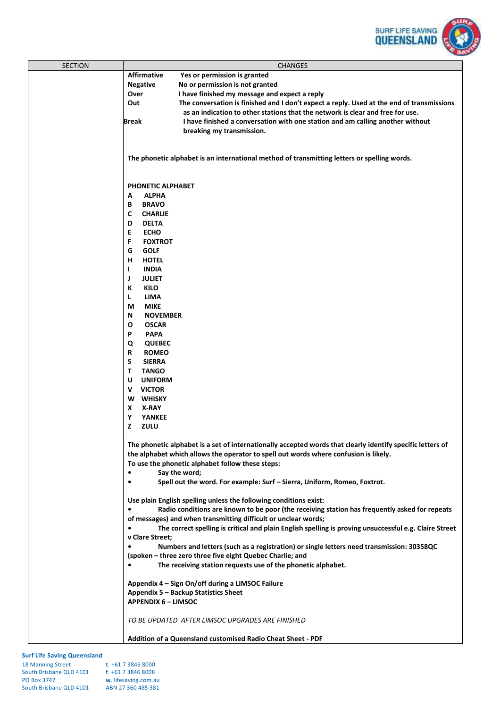

| <b>SECTION</b> | <b>CHANGES</b>                                                                                              |
|----------------|-------------------------------------------------------------------------------------------------------------|
|                | <b>Affirmative</b><br>Yes or permission is granted                                                          |
|                | <b>Negative</b><br>No or permission is not granted                                                          |
|                | Over<br>I have finished my message and expect a reply                                                       |
|                | The conversation is finished and I don't expect a reply. Used at the end of transmissions<br>Out            |
|                | as an indication to other stations that the network is clear and free for use.                              |
|                | <b>Break</b><br>I have finished a conversation with one station and am calling another without              |
|                | breaking my transmission.                                                                                   |
|                |                                                                                                             |
|                |                                                                                                             |
|                | The phonetic alphabet is an international method of transmitting letters or spelling words.                 |
|                |                                                                                                             |
|                |                                                                                                             |
|                |                                                                                                             |
|                | <b>PHONETIC ALPHABET</b><br><b>ALPHA</b>                                                                    |
|                | А                                                                                                           |
|                | <b>BRAVO</b><br>В                                                                                           |
|                | C<br><b>CHARLIE</b>                                                                                         |
|                | <b>DELTA</b><br>D                                                                                           |
|                | E<br><b>ECHO</b>                                                                                            |
|                | F<br><b>FOXTROT</b>                                                                                         |
|                | G<br><b>GOLF</b>                                                                                            |
|                | н<br><b>HOTEL</b>                                                                                           |
|                | L<br><b>INDIA</b>                                                                                           |
|                | J<br><b>JULIET</b>                                                                                          |
|                | К<br><b>KILO</b>                                                                                            |
|                | L<br><b>LIMA</b>                                                                                            |
|                | <b>MIKE</b><br>М                                                                                            |
|                | Ν<br><b>NOVEMBER</b>                                                                                        |
|                | O<br><b>OSCAR</b>                                                                                           |
|                | P<br><b>PAPA</b>                                                                                            |
|                | Q<br><b>QUEBEC</b>                                                                                          |
|                | <b>ROMEO</b><br>R                                                                                           |
|                | S<br><b>SIERRA</b>                                                                                          |
|                | T.<br><b>TANGO</b>                                                                                          |
|                | U<br><b>UNIFORM</b>                                                                                         |
|                | <b>VICTOR</b><br>V                                                                                          |
|                | W<br><b>WHISKY</b>                                                                                          |
|                | X<br>X-RAY                                                                                                  |
|                | Υ<br>YANKEE                                                                                                 |
|                | z<br>ZULU                                                                                                   |
|                |                                                                                                             |
|                | The phonetic alphabet is a set of internationally accepted words that clearly identify specific letters of  |
|                | the alphabet which allows the operator to spell out words where confusion is likely.                        |
|                | To use the phonetic alphabet follow these steps:                                                            |
|                | $\bullet$<br>Say the word;                                                                                  |
|                | Spell out the word. For example: Surf - Sierra, Uniform, Romeo, Foxtrot.<br>$\bullet$                       |
|                |                                                                                                             |
|                | Use plain English spelling unless the following conditions exist:                                           |
|                | Radio conditions are known to be poor (the receiving station has frequently asked for repeats<br>٠          |
|                | of messages) and when transmitting difficult or unclear words;                                              |
|                | ٠<br>The correct spelling is critical and plain English spelling is proving unsuccessful e.g. Claire Street |
|                | v Clare Street;                                                                                             |
|                | Numbers and letters (such as a registration) or single letters need transmission: 30358QC<br>$\bullet$      |
|                | (spoken - three zero three five eight Quebec Charlie; and                                                   |
|                | The receiving station requests use of the phonetic alphabet.                                                |
|                |                                                                                                             |
|                | Appendix 4 - Sign On/off during a LIMSOC Failure                                                            |
|                | Appendix 5 - Backup Statistics Sheet                                                                        |
|                | <b>APPENDIX 6 - LIMSOC</b>                                                                                  |
|                |                                                                                                             |
|                | TO BE UPDATED AFTER LIMSOC UPGRADES ARE FINISHED                                                            |
|                |                                                                                                             |
|                | Addition of a Queensland customised Radio Cheat Sheet - PDF                                                 |

| <b>18 Manning Street</b> | $t. +61738468000$    |
|--------------------------|----------------------|
| South Brisbane QLD 4101  | $f. +61738468008$    |
| <b>PO Box 3747</b>       | w. lifesaving.com.au |
| South Brisbane QLD 4101  | ABN 27 360 485 381   |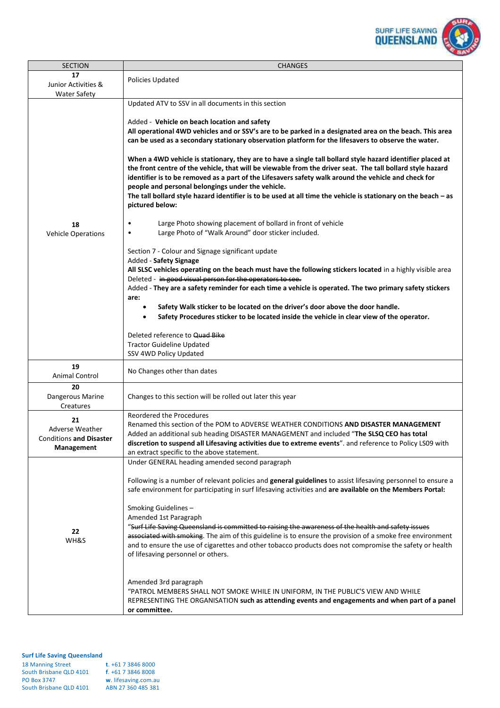

| <b>SECTION</b>                                                        | <b>CHANGES</b>                                                                                                                                                                                                                                                                                                                                                                                                                                                                                                                                                                                                                                                                                                                                                                                                                                                                                                                                                                                                                                                                                                                                                                                                                                                                                                                                                                                                                                                                                                                                                                                                                                                  |
|-----------------------------------------------------------------------|-----------------------------------------------------------------------------------------------------------------------------------------------------------------------------------------------------------------------------------------------------------------------------------------------------------------------------------------------------------------------------------------------------------------------------------------------------------------------------------------------------------------------------------------------------------------------------------------------------------------------------------------------------------------------------------------------------------------------------------------------------------------------------------------------------------------------------------------------------------------------------------------------------------------------------------------------------------------------------------------------------------------------------------------------------------------------------------------------------------------------------------------------------------------------------------------------------------------------------------------------------------------------------------------------------------------------------------------------------------------------------------------------------------------------------------------------------------------------------------------------------------------------------------------------------------------------------------------------------------------------------------------------------------------|
| 17<br>Junior Activities &<br><b>Water Safety</b>                      | Policies Updated                                                                                                                                                                                                                                                                                                                                                                                                                                                                                                                                                                                                                                                                                                                                                                                                                                                                                                                                                                                                                                                                                                                                                                                                                                                                                                                                                                                                                                                                                                                                                                                                                                                |
| 18<br><b>Vehicle Operations</b>                                       | Updated ATV to SSV in all documents in this section<br>Added - Vehicle on beach location and safety<br>All operational 4WD vehicles and or SSV's are to be parked in a designated area on the beach. This area<br>can be used as a secondary stationary observation platform for the lifesavers to observe the water.<br>When a 4WD vehicle is stationary, they are to have a single tall bollard style hazard identifier placed at<br>the front centre of the vehicle, that will be viewable from the driver seat. The tall bollard style hazard<br>identifier is to be removed as a part of the Lifesavers safety walk around the vehicle and check for<br>people and personal belongings under the vehicle.<br>The tall bollard style hazard identifier is to be used at all time the vehicle is stationary on the beach - as<br>pictured below:<br>Large Photo showing placement of bollard in front of vehicle<br>$\bullet$<br>Large Photo of "Walk Around" door sticker included.<br>$\bullet$<br>Section 7 - Colour and Signage significant update<br>Added - Safety Signage<br>All SLSC vehicles operating on the beach must have the following stickers located in a highly visible area<br>Deleted - in good visual person for the operators to see.<br>Added - They are a safety reminder for each time a vehicle is operated. The two primary safety stickers<br>are:<br>Safety Walk sticker to be located on the driver's door above the door handle.<br>Safety Procedures sticker to be located inside the vehicle in clear view of the operator.<br>Deleted reference to Quad Bike<br><b>Tractor Guideline Updated</b><br>SSV 4WD Policy Updated |
| 19<br>Animal Control                                                  | No Changes other than dates                                                                                                                                                                                                                                                                                                                                                                                                                                                                                                                                                                                                                                                                                                                                                                                                                                                                                                                                                                                                                                                                                                                                                                                                                                                                                                                                                                                                                                                                                                                                                                                                                                     |
| 20<br>Dangerous Marine<br>Creatures                                   | Changes to this section will be rolled out later this year                                                                                                                                                                                                                                                                                                                                                                                                                                                                                                                                                                                                                                                                                                                                                                                                                                                                                                                                                                                                                                                                                                                                                                                                                                                                                                                                                                                                                                                                                                                                                                                                      |
| 21<br>Adverse Weather<br><b>Conditions and Disaster</b><br>Management | Reordered the Procedures<br>Renamed this section of the POM to ADVERSE WEATHER CONDITIONS AND DISASTER MANAGEMENT<br>Added an additional sub heading DISASTER MANAGEMENT and included "The SLSQ CEO has total<br>discretion to suspend all Lifesaving activities due to extreme events". and reference to Policy LS09 with<br>an extract specific to the above statement.                                                                                                                                                                                                                                                                                                                                                                                                                                                                                                                                                                                                                                                                                                                                                                                                                                                                                                                                                                                                                                                                                                                                                                                                                                                                                       |
| 22<br>WH&S                                                            | Under GENERAL heading amended second paragraph<br>Following is a number of relevant policies and general guidelines to assist lifesaving personnel to ensure a<br>safe environment for participating in surf lifesaving activities and are available on the Members Portal:<br>Smoking Guidelines-<br>Amended 1st Paragraph<br>"Surf Life Saving Queensland is committed to raising the awareness of the health and safety issues<br>associated with smoking. The aim of this guideline is to ensure the provision of a smoke free environment<br>and to ensure the use of cigarettes and other tobacco products does not compromise the safety or health<br>of lifesaving personnel or others.<br>Amended 3rd paragraph<br>"PATROL MEMBERS SHALL NOT SMOKE WHILE IN UNIFORM, IN THE PUBLIC'S VIEW AND WHILE<br>REPRESENTING THE ORGANISATION such as attending events and engagements and when part of a panel<br>or committee.                                                                                                                                                                                                                                                                                                                                                                                                                                                                                                                                                                                                                                                                                                                                |

| <b>18 Manning Street</b> | $t. +61738468000$    |
|--------------------------|----------------------|
| South Brisbane QLD 4101  | $f. +61738468008$    |
| <b>PO Box 3747</b>       | w. lifesaving.com.au |
| South Brisbane QLD 4101  | ABN 27 360 485 381   |
|                          |                      |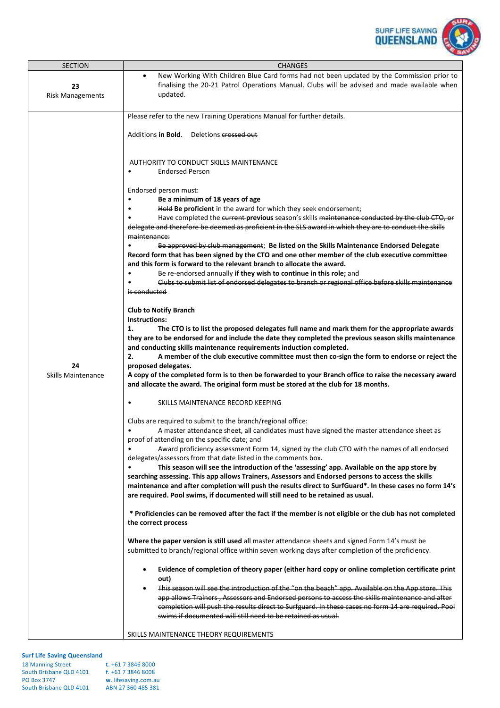

| New Working With Children Blue Card forms had not been updated by the Commission prior to<br>$\bullet$<br>finalising the 20-21 Patrol Operations Manual. Clubs will be advised and made available when<br>23<br>updated.<br><b>Risk Managements</b><br>Please refer to the new Training Operations Manual for further details.<br>Additions <b>in Bold</b> .<br>Deletions crossed out<br>AUTHORITY TO CONDUCT SKILLS MAINTENANCE<br><b>Endorsed Person</b><br>Endorsed person must:<br>Be a minimum of 18 years of age<br>$\bullet$<br>Hold Be proficient in the award for which they seek endorsement;<br>$\bullet$<br>Have completed the current previous season's skills maintenance conducted by the club CTO, or<br>delegate and therefore be deemed as proficient in the SLS award in which they are to conduct the skills<br>maintenance:<br>Be approved by club management; Be listed on the Skills Maintenance Endorsed Delegate<br>Record form that has been signed by the CTO and one other member of the club executive committee<br>and this form is forward to the relevant branch to allocate the award.<br>Be re-endorsed annually if they wish to continue in this role; and<br>Clubs to submit list of endorsed delegates to branch or regional office before skills maintenance<br>is conducted<br><b>Club to Notify Branch</b><br>Instructions:<br>1.<br>The CTO is to list the proposed delegates full name and mark them for the appropriate awards<br>they are to be endorsed for and include the date they completed the previous season skills maintenance<br>and conducting skills maintenance requirements induction completed.<br>2.<br>A member of the club executive committee must then co-sign the form to endorse or reject the<br>24<br>proposed delegates.<br>A copy of the completed form is to then be forwarded to your Branch office to raise the necessary award<br><b>Skills Maintenance</b><br>and allocate the award. The original form must be stored at the club for 18 months.<br>SKILLS MAINTENANCE RECORD KEEPING | <b>SECTION</b> | <b>CHANGES</b> |  |  |  |
|-------------------------------------------------------------------------------------------------------------------------------------------------------------------------------------------------------------------------------------------------------------------------------------------------------------------------------------------------------------------------------------------------------------------------------------------------------------------------------------------------------------------------------------------------------------------------------------------------------------------------------------------------------------------------------------------------------------------------------------------------------------------------------------------------------------------------------------------------------------------------------------------------------------------------------------------------------------------------------------------------------------------------------------------------------------------------------------------------------------------------------------------------------------------------------------------------------------------------------------------------------------------------------------------------------------------------------------------------------------------------------------------------------------------------------------------------------------------------------------------------------------------------------------------------------------------------------------------------------------------------------------------------------------------------------------------------------------------------------------------------------------------------------------------------------------------------------------------------------------------------------------------------------------------------------------------------------------------------------------------------------------------------------------------------------------------|----------------|----------------|--|--|--|
|                                                                                                                                                                                                                                                                                                                                                                                                                                                                                                                                                                                                                                                                                                                                                                                                                                                                                                                                                                                                                                                                                                                                                                                                                                                                                                                                                                                                                                                                                                                                                                                                                                                                                                                                                                                                                                                                                                                                                                                                                                                                   |                |                |  |  |  |
| Clubs are required to submit to the branch/regional office:<br>A master attendance sheet, all candidates must have signed the master attendance sheet as<br>proof of attending on the specific date; and<br>Award proficiency assessment Form 14, signed by the club CTO with the names of all endorsed<br>delegates/assessors from that date listed in the comments box.<br>This season will see the introduction of the 'assessing' app. Available on the app store by<br>$\bullet$<br>searching assessing. This app allows Trainers, Assessors and Endorsed persons to access the skills<br>maintenance and after completion will push the results direct to SurfGuard*. In these cases no form 14's<br>are required. Pool swims, if documented will still need to be retained as usual.<br>* Proficiencies can be removed after the fact if the member is not eligible or the club has not completed<br>the correct process<br>Where the paper version is still used all master attendance sheets and signed Form 14's must be<br>submitted to branch/regional office within seven working days after completion of the proficiency.<br>Evidence of completion of theory paper (either hard copy or online completion certificate print<br>out)<br>This season will see the introduction of the "on the beach" app. Available on the App store. This<br>٠<br>app allows Trainers, Assessors and Endorsed persons to access the skills maintenance and after                                                                                                                                                                                                                                                                                                                                                                                                                                                                                                                                                                                                   |                |                |  |  |  |
| completion will push the results direct to Surfguard. In these cases no form 14 are required. Pool<br>swims if documented will still need to be retained as usual.<br>SKILLS MAINTENANCE THEORY REQUIREMENTS                                                                                                                                                                                                                                                                                                                                                                                                                                                                                                                                                                                                                                                                                                                                                                                                                                                                                                                                                                                                                                                                                                                                                                                                                                                                                                                                                                                                                                                                                                                                                                                                                                                                                                                                                                                                                                                      |                |                |  |  |  |

| <b>18 Manning Street</b> | $t. +61738468000$    |
|--------------------------|----------------------|
| South Brisbane QLD 4101  | $f. +61738468008$    |
| <b>PO Box 3747</b>       | w. lifesaving.com.au |
| South Brisbane QLD 4101  | ABN 27 360 485 381   |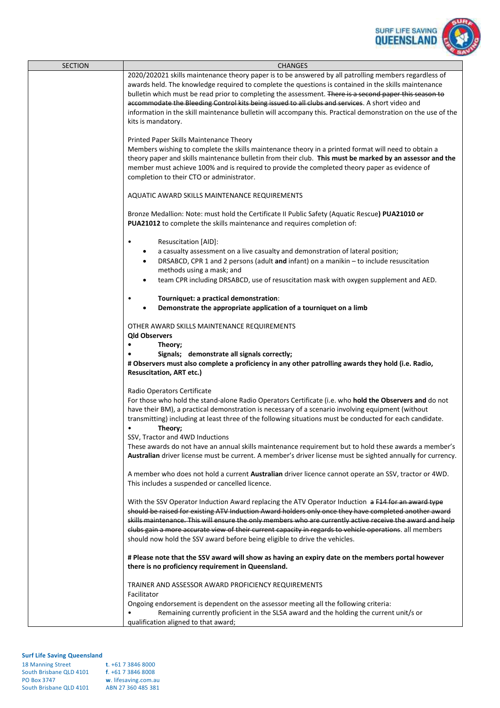

| 2020/202021 skills maintenance theory paper is to be answered by all patrolling members regardless of<br>awards held. The knowledge required to complete the questions is contained in the skills maintenance<br>bulletin which must be read prior to completing the assessment. There is a second paper this season to<br>accommodate the Bleeding Control kits being issued to all clubs and services. A short video and<br>information in the skill maintenance bulletin will accompany this. Practical demonstration on the use of the<br>kits is mandatory.<br>Printed Paper Skills Maintenance Theory<br>Members wishing to complete the skills maintenance theory in a printed format will need to obtain a<br>theory paper and skills maintenance bulletin from their club. This must be marked by an assessor and the<br>member must achieve 100% and is required to provide the completed theory paper as evidence of<br>completion to their CTO or administrator.<br>AQUATIC AWARD SKILLS MAINTENANCE REQUIREMENTS<br>Bronze Medallion: Note: must hold the Certificate II Public Safety (Aquatic Rescue) PUA21010 or<br>PUA21012 to complete the skills maintenance and requires completion of:<br>Resuscitation [AID]:<br>٠<br>a casualty assessment on a live casualty and demonstration of lateral position;<br>٠<br>DRSABCD, CPR 1 and 2 persons (adult and infant) on a manikin $-$ to include resuscitation<br>$\bullet$<br>methods using a mask; and<br>team CPR including DRSABCD, use of resuscitation mask with oxygen supplement and AED.<br>$\bullet$<br>Tourniquet: a practical demonstration:<br>$\bullet$<br>Demonstrate the appropriate application of a tourniquet on a limb<br>$\bullet$<br>OTHER AWARD SKILLS MAINTENANCE REQUIREMENTS<br><b>Qld Observers</b><br>$\bullet$<br>Theory;<br>Signals; demonstrate all signals correctly;<br># Observers must also complete a proficiency in any other patrolling awards they hold (i.e. Radio,<br><b>Resuscitation, ART etc.)</b><br>Radio Operators Certificate<br>For those who hold the stand-alone Radio Operators Certificate (i.e. who hold the Observers and do not<br>have their BM), a practical demonstration is necessary of a scenario involving equipment (without<br>transmitting) including at least three of the following situations must be conducted for each candidate.<br>Theory;<br>SSV, Tractor and 4WD Inductions<br>These awards do not have an annual skills maintenance requirement but to hold these awards a member's<br>Australian driver license must be current. A member's driver license must be sighted annually for currency.<br>A member who does not hold a current Australian driver licence cannot operate an SSV, tractor or 4WD.<br>This includes a suspended or cancelled licence.<br>With the SSV Operator Induction Award replacing the ATV Operator Induction a F14 for an award type<br>should be raised for existing ATV Induction Award holders only once they have completed another award<br>skills maintenance. This will ensure the only members who are currently active receive the award and help<br>clubs gain a more accurate view of their current capacity in regards to vehicle operations. all members<br>should now hold the SSV award before being eligible to drive the vehicles.<br># Please note that the SSV award will show as having an expiry date on the members portal however<br>there is no proficiency requirement in Queensland.<br>TRAINER AND ASSESSOR AWARD PROFICIENCY REQUIREMENTS<br>Facilitator<br>Ongoing endorsement is dependent on the assessor meeting all the following criteria:<br>Remaining currently proficient in the SLSA award and the holding the current unit/s or<br>qualification aligned to that award; | <b>SECTION</b> | <b>CHANGES</b> |
|-------------------------------------------------------------------------------------------------------------------------------------------------------------------------------------------------------------------------------------------------------------------------------------------------------------------------------------------------------------------------------------------------------------------------------------------------------------------------------------------------------------------------------------------------------------------------------------------------------------------------------------------------------------------------------------------------------------------------------------------------------------------------------------------------------------------------------------------------------------------------------------------------------------------------------------------------------------------------------------------------------------------------------------------------------------------------------------------------------------------------------------------------------------------------------------------------------------------------------------------------------------------------------------------------------------------------------------------------------------------------------------------------------------------------------------------------------------------------------------------------------------------------------------------------------------------------------------------------------------------------------------------------------------------------------------------------------------------------------------------------------------------------------------------------------------------------------------------------------------------------------------------------------------------------------------------------------------------------------------------------------------------------------------------------------------------------------------------------------------------------------------------------------------------------------------------------------------------------------------------------------------------------------------------------------------------------------------------------------------------------------------------------------------------------------------------------------------------------------------------------------------------------------------------------------------------------------------------------------------------------------------------------------------------------------------------------------------------------------------------------------------------------------------------------------------------------------------------------------------------------------------------------------------------------------------------------------------------------------------------------------------------------------------------------------------------------------------------------------------------------------------------------------------------------------------------------------------------------------------------------------------------------------------------------------------------------------------------------------------------------------------------------------------------------------------------------------------------------------------------------------------------------------------------------------------------------------------------------------------------------------------------------------------------------------------------------------------------------------------------------------------------------------------------|----------------|----------------|
|                                                                                                                                                                                                                                                                                                                                                                                                                                                                                                                                                                                                                                                                                                                                                                                                                                                                                                                                                                                                                                                                                                                                                                                                                                                                                                                                                                                                                                                                                                                                                                                                                                                                                                                                                                                                                                                                                                                                                                                                                                                                                                                                                                                                                                                                                                                                                                                                                                                                                                                                                                                                                                                                                                                                                                                                                                                                                                                                                                                                                                                                                                                                                                                                                                                                                                                                                                                                                                                                                                                                                                                                                                                                                                                                                                                           |                |                |
|                                                                                                                                                                                                                                                                                                                                                                                                                                                                                                                                                                                                                                                                                                                                                                                                                                                                                                                                                                                                                                                                                                                                                                                                                                                                                                                                                                                                                                                                                                                                                                                                                                                                                                                                                                                                                                                                                                                                                                                                                                                                                                                                                                                                                                                                                                                                                                                                                                                                                                                                                                                                                                                                                                                                                                                                                                                                                                                                                                                                                                                                                                                                                                                                                                                                                                                                                                                                                                                                                                                                                                                                                                                                                                                                                                                           |                |                |
|                                                                                                                                                                                                                                                                                                                                                                                                                                                                                                                                                                                                                                                                                                                                                                                                                                                                                                                                                                                                                                                                                                                                                                                                                                                                                                                                                                                                                                                                                                                                                                                                                                                                                                                                                                                                                                                                                                                                                                                                                                                                                                                                                                                                                                                                                                                                                                                                                                                                                                                                                                                                                                                                                                                                                                                                                                                                                                                                                                                                                                                                                                                                                                                                                                                                                                                                                                                                                                                                                                                                                                                                                                                                                                                                                                                           |                |                |
|                                                                                                                                                                                                                                                                                                                                                                                                                                                                                                                                                                                                                                                                                                                                                                                                                                                                                                                                                                                                                                                                                                                                                                                                                                                                                                                                                                                                                                                                                                                                                                                                                                                                                                                                                                                                                                                                                                                                                                                                                                                                                                                                                                                                                                                                                                                                                                                                                                                                                                                                                                                                                                                                                                                                                                                                                                                                                                                                                                                                                                                                                                                                                                                                                                                                                                                                                                                                                                                                                                                                                                                                                                                                                                                                                                                           |                |                |
|                                                                                                                                                                                                                                                                                                                                                                                                                                                                                                                                                                                                                                                                                                                                                                                                                                                                                                                                                                                                                                                                                                                                                                                                                                                                                                                                                                                                                                                                                                                                                                                                                                                                                                                                                                                                                                                                                                                                                                                                                                                                                                                                                                                                                                                                                                                                                                                                                                                                                                                                                                                                                                                                                                                                                                                                                                                                                                                                                                                                                                                                                                                                                                                                                                                                                                                                                                                                                                                                                                                                                                                                                                                                                                                                                                                           |                |                |
|                                                                                                                                                                                                                                                                                                                                                                                                                                                                                                                                                                                                                                                                                                                                                                                                                                                                                                                                                                                                                                                                                                                                                                                                                                                                                                                                                                                                                                                                                                                                                                                                                                                                                                                                                                                                                                                                                                                                                                                                                                                                                                                                                                                                                                                                                                                                                                                                                                                                                                                                                                                                                                                                                                                                                                                                                                                                                                                                                                                                                                                                                                                                                                                                                                                                                                                                                                                                                                                                                                                                                                                                                                                                                                                                                                                           |                |                |
|                                                                                                                                                                                                                                                                                                                                                                                                                                                                                                                                                                                                                                                                                                                                                                                                                                                                                                                                                                                                                                                                                                                                                                                                                                                                                                                                                                                                                                                                                                                                                                                                                                                                                                                                                                                                                                                                                                                                                                                                                                                                                                                                                                                                                                                                                                                                                                                                                                                                                                                                                                                                                                                                                                                                                                                                                                                                                                                                                                                                                                                                                                                                                                                                                                                                                                                                                                                                                                                                                                                                                                                                                                                                                                                                                                                           |                |                |
|                                                                                                                                                                                                                                                                                                                                                                                                                                                                                                                                                                                                                                                                                                                                                                                                                                                                                                                                                                                                                                                                                                                                                                                                                                                                                                                                                                                                                                                                                                                                                                                                                                                                                                                                                                                                                                                                                                                                                                                                                                                                                                                                                                                                                                                                                                                                                                                                                                                                                                                                                                                                                                                                                                                                                                                                                                                                                                                                                                                                                                                                                                                                                                                                                                                                                                                                                                                                                                                                                                                                                                                                                                                                                                                                                                                           |                |                |
|                                                                                                                                                                                                                                                                                                                                                                                                                                                                                                                                                                                                                                                                                                                                                                                                                                                                                                                                                                                                                                                                                                                                                                                                                                                                                                                                                                                                                                                                                                                                                                                                                                                                                                                                                                                                                                                                                                                                                                                                                                                                                                                                                                                                                                                                                                                                                                                                                                                                                                                                                                                                                                                                                                                                                                                                                                                                                                                                                                                                                                                                                                                                                                                                                                                                                                                                                                                                                                                                                                                                                                                                                                                                                                                                                                                           |                |                |
|                                                                                                                                                                                                                                                                                                                                                                                                                                                                                                                                                                                                                                                                                                                                                                                                                                                                                                                                                                                                                                                                                                                                                                                                                                                                                                                                                                                                                                                                                                                                                                                                                                                                                                                                                                                                                                                                                                                                                                                                                                                                                                                                                                                                                                                                                                                                                                                                                                                                                                                                                                                                                                                                                                                                                                                                                                                                                                                                                                                                                                                                                                                                                                                                                                                                                                                                                                                                                                                                                                                                                                                                                                                                                                                                                                                           |                |                |
|                                                                                                                                                                                                                                                                                                                                                                                                                                                                                                                                                                                                                                                                                                                                                                                                                                                                                                                                                                                                                                                                                                                                                                                                                                                                                                                                                                                                                                                                                                                                                                                                                                                                                                                                                                                                                                                                                                                                                                                                                                                                                                                                                                                                                                                                                                                                                                                                                                                                                                                                                                                                                                                                                                                                                                                                                                                                                                                                                                                                                                                                                                                                                                                                                                                                                                                                                                                                                                                                                                                                                                                                                                                                                                                                                                                           |                |                |
|                                                                                                                                                                                                                                                                                                                                                                                                                                                                                                                                                                                                                                                                                                                                                                                                                                                                                                                                                                                                                                                                                                                                                                                                                                                                                                                                                                                                                                                                                                                                                                                                                                                                                                                                                                                                                                                                                                                                                                                                                                                                                                                                                                                                                                                                                                                                                                                                                                                                                                                                                                                                                                                                                                                                                                                                                                                                                                                                                                                                                                                                                                                                                                                                                                                                                                                                                                                                                                                                                                                                                                                                                                                                                                                                                                                           |                |                |
|                                                                                                                                                                                                                                                                                                                                                                                                                                                                                                                                                                                                                                                                                                                                                                                                                                                                                                                                                                                                                                                                                                                                                                                                                                                                                                                                                                                                                                                                                                                                                                                                                                                                                                                                                                                                                                                                                                                                                                                                                                                                                                                                                                                                                                                                                                                                                                                                                                                                                                                                                                                                                                                                                                                                                                                                                                                                                                                                                                                                                                                                                                                                                                                                                                                                                                                                                                                                                                                                                                                                                                                                                                                                                                                                                                                           |                |                |
|                                                                                                                                                                                                                                                                                                                                                                                                                                                                                                                                                                                                                                                                                                                                                                                                                                                                                                                                                                                                                                                                                                                                                                                                                                                                                                                                                                                                                                                                                                                                                                                                                                                                                                                                                                                                                                                                                                                                                                                                                                                                                                                                                                                                                                                                                                                                                                                                                                                                                                                                                                                                                                                                                                                                                                                                                                                                                                                                                                                                                                                                                                                                                                                                                                                                                                                                                                                                                                                                                                                                                                                                                                                                                                                                                                                           |                |                |
|                                                                                                                                                                                                                                                                                                                                                                                                                                                                                                                                                                                                                                                                                                                                                                                                                                                                                                                                                                                                                                                                                                                                                                                                                                                                                                                                                                                                                                                                                                                                                                                                                                                                                                                                                                                                                                                                                                                                                                                                                                                                                                                                                                                                                                                                                                                                                                                                                                                                                                                                                                                                                                                                                                                                                                                                                                                                                                                                                                                                                                                                                                                                                                                                                                                                                                                                                                                                                                                                                                                                                                                                                                                                                                                                                                                           |                |                |
|                                                                                                                                                                                                                                                                                                                                                                                                                                                                                                                                                                                                                                                                                                                                                                                                                                                                                                                                                                                                                                                                                                                                                                                                                                                                                                                                                                                                                                                                                                                                                                                                                                                                                                                                                                                                                                                                                                                                                                                                                                                                                                                                                                                                                                                                                                                                                                                                                                                                                                                                                                                                                                                                                                                                                                                                                                                                                                                                                                                                                                                                                                                                                                                                                                                                                                                                                                                                                                                                                                                                                                                                                                                                                                                                                                                           |                |                |
|                                                                                                                                                                                                                                                                                                                                                                                                                                                                                                                                                                                                                                                                                                                                                                                                                                                                                                                                                                                                                                                                                                                                                                                                                                                                                                                                                                                                                                                                                                                                                                                                                                                                                                                                                                                                                                                                                                                                                                                                                                                                                                                                                                                                                                                                                                                                                                                                                                                                                                                                                                                                                                                                                                                                                                                                                                                                                                                                                                                                                                                                                                                                                                                                                                                                                                                                                                                                                                                                                                                                                                                                                                                                                                                                                                                           |                |                |
|                                                                                                                                                                                                                                                                                                                                                                                                                                                                                                                                                                                                                                                                                                                                                                                                                                                                                                                                                                                                                                                                                                                                                                                                                                                                                                                                                                                                                                                                                                                                                                                                                                                                                                                                                                                                                                                                                                                                                                                                                                                                                                                                                                                                                                                                                                                                                                                                                                                                                                                                                                                                                                                                                                                                                                                                                                                                                                                                                                                                                                                                                                                                                                                                                                                                                                                                                                                                                                                                                                                                                                                                                                                                                                                                                                                           |                |                |
|                                                                                                                                                                                                                                                                                                                                                                                                                                                                                                                                                                                                                                                                                                                                                                                                                                                                                                                                                                                                                                                                                                                                                                                                                                                                                                                                                                                                                                                                                                                                                                                                                                                                                                                                                                                                                                                                                                                                                                                                                                                                                                                                                                                                                                                                                                                                                                                                                                                                                                                                                                                                                                                                                                                                                                                                                                                                                                                                                                                                                                                                                                                                                                                                                                                                                                                                                                                                                                                                                                                                                                                                                                                                                                                                                                                           |                |                |
|                                                                                                                                                                                                                                                                                                                                                                                                                                                                                                                                                                                                                                                                                                                                                                                                                                                                                                                                                                                                                                                                                                                                                                                                                                                                                                                                                                                                                                                                                                                                                                                                                                                                                                                                                                                                                                                                                                                                                                                                                                                                                                                                                                                                                                                                                                                                                                                                                                                                                                                                                                                                                                                                                                                                                                                                                                                                                                                                                                                                                                                                                                                                                                                                                                                                                                                                                                                                                                                                                                                                                                                                                                                                                                                                                                                           |                |                |
|                                                                                                                                                                                                                                                                                                                                                                                                                                                                                                                                                                                                                                                                                                                                                                                                                                                                                                                                                                                                                                                                                                                                                                                                                                                                                                                                                                                                                                                                                                                                                                                                                                                                                                                                                                                                                                                                                                                                                                                                                                                                                                                                                                                                                                                                                                                                                                                                                                                                                                                                                                                                                                                                                                                                                                                                                                                                                                                                                                                                                                                                                                                                                                                                                                                                                                                                                                                                                                                                                                                                                                                                                                                                                                                                                                                           |                |                |
|                                                                                                                                                                                                                                                                                                                                                                                                                                                                                                                                                                                                                                                                                                                                                                                                                                                                                                                                                                                                                                                                                                                                                                                                                                                                                                                                                                                                                                                                                                                                                                                                                                                                                                                                                                                                                                                                                                                                                                                                                                                                                                                                                                                                                                                                                                                                                                                                                                                                                                                                                                                                                                                                                                                                                                                                                                                                                                                                                                                                                                                                                                                                                                                                                                                                                                                                                                                                                                                                                                                                                                                                                                                                                                                                                                                           |                |                |
|                                                                                                                                                                                                                                                                                                                                                                                                                                                                                                                                                                                                                                                                                                                                                                                                                                                                                                                                                                                                                                                                                                                                                                                                                                                                                                                                                                                                                                                                                                                                                                                                                                                                                                                                                                                                                                                                                                                                                                                                                                                                                                                                                                                                                                                                                                                                                                                                                                                                                                                                                                                                                                                                                                                                                                                                                                                                                                                                                                                                                                                                                                                                                                                                                                                                                                                                                                                                                                                                                                                                                                                                                                                                                                                                                                                           |                |                |
|                                                                                                                                                                                                                                                                                                                                                                                                                                                                                                                                                                                                                                                                                                                                                                                                                                                                                                                                                                                                                                                                                                                                                                                                                                                                                                                                                                                                                                                                                                                                                                                                                                                                                                                                                                                                                                                                                                                                                                                                                                                                                                                                                                                                                                                                                                                                                                                                                                                                                                                                                                                                                                                                                                                                                                                                                                                                                                                                                                                                                                                                                                                                                                                                                                                                                                                                                                                                                                                                                                                                                                                                                                                                                                                                                                                           |                |                |
|                                                                                                                                                                                                                                                                                                                                                                                                                                                                                                                                                                                                                                                                                                                                                                                                                                                                                                                                                                                                                                                                                                                                                                                                                                                                                                                                                                                                                                                                                                                                                                                                                                                                                                                                                                                                                                                                                                                                                                                                                                                                                                                                                                                                                                                                                                                                                                                                                                                                                                                                                                                                                                                                                                                                                                                                                                                                                                                                                                                                                                                                                                                                                                                                                                                                                                                                                                                                                                                                                                                                                                                                                                                                                                                                                                                           |                |                |
|                                                                                                                                                                                                                                                                                                                                                                                                                                                                                                                                                                                                                                                                                                                                                                                                                                                                                                                                                                                                                                                                                                                                                                                                                                                                                                                                                                                                                                                                                                                                                                                                                                                                                                                                                                                                                                                                                                                                                                                                                                                                                                                                                                                                                                                                                                                                                                                                                                                                                                                                                                                                                                                                                                                                                                                                                                                                                                                                                                                                                                                                                                                                                                                                                                                                                                                                                                                                                                                                                                                                                                                                                                                                                                                                                                                           |                |                |
|                                                                                                                                                                                                                                                                                                                                                                                                                                                                                                                                                                                                                                                                                                                                                                                                                                                                                                                                                                                                                                                                                                                                                                                                                                                                                                                                                                                                                                                                                                                                                                                                                                                                                                                                                                                                                                                                                                                                                                                                                                                                                                                                                                                                                                                                                                                                                                                                                                                                                                                                                                                                                                                                                                                                                                                                                                                                                                                                                                                                                                                                                                                                                                                                                                                                                                                                                                                                                                                                                                                                                                                                                                                                                                                                                                                           |                |                |
|                                                                                                                                                                                                                                                                                                                                                                                                                                                                                                                                                                                                                                                                                                                                                                                                                                                                                                                                                                                                                                                                                                                                                                                                                                                                                                                                                                                                                                                                                                                                                                                                                                                                                                                                                                                                                                                                                                                                                                                                                                                                                                                                                                                                                                                                                                                                                                                                                                                                                                                                                                                                                                                                                                                                                                                                                                                                                                                                                                                                                                                                                                                                                                                                                                                                                                                                                                                                                                                                                                                                                                                                                                                                                                                                                                                           |                |                |
|                                                                                                                                                                                                                                                                                                                                                                                                                                                                                                                                                                                                                                                                                                                                                                                                                                                                                                                                                                                                                                                                                                                                                                                                                                                                                                                                                                                                                                                                                                                                                                                                                                                                                                                                                                                                                                                                                                                                                                                                                                                                                                                                                                                                                                                                                                                                                                                                                                                                                                                                                                                                                                                                                                                                                                                                                                                                                                                                                                                                                                                                                                                                                                                                                                                                                                                                                                                                                                                                                                                                                                                                                                                                                                                                                                                           |                |                |
|                                                                                                                                                                                                                                                                                                                                                                                                                                                                                                                                                                                                                                                                                                                                                                                                                                                                                                                                                                                                                                                                                                                                                                                                                                                                                                                                                                                                                                                                                                                                                                                                                                                                                                                                                                                                                                                                                                                                                                                                                                                                                                                                                                                                                                                                                                                                                                                                                                                                                                                                                                                                                                                                                                                                                                                                                                                                                                                                                                                                                                                                                                                                                                                                                                                                                                                                                                                                                                                                                                                                                                                                                                                                                                                                                                                           |                |                |
|                                                                                                                                                                                                                                                                                                                                                                                                                                                                                                                                                                                                                                                                                                                                                                                                                                                                                                                                                                                                                                                                                                                                                                                                                                                                                                                                                                                                                                                                                                                                                                                                                                                                                                                                                                                                                                                                                                                                                                                                                                                                                                                                                                                                                                                                                                                                                                                                                                                                                                                                                                                                                                                                                                                                                                                                                                                                                                                                                                                                                                                                                                                                                                                                                                                                                                                                                                                                                                                                                                                                                                                                                                                                                                                                                                                           |                |                |
|                                                                                                                                                                                                                                                                                                                                                                                                                                                                                                                                                                                                                                                                                                                                                                                                                                                                                                                                                                                                                                                                                                                                                                                                                                                                                                                                                                                                                                                                                                                                                                                                                                                                                                                                                                                                                                                                                                                                                                                                                                                                                                                                                                                                                                                                                                                                                                                                                                                                                                                                                                                                                                                                                                                                                                                                                                                                                                                                                                                                                                                                                                                                                                                                                                                                                                                                                                                                                                                                                                                                                                                                                                                                                                                                                                                           |                |                |

| <b>18 Manning Street</b> | $t. +61738468000$    |
|--------------------------|----------------------|
| South Brisbane QLD 4101  | $f. +61738468008$    |
| <b>PO Box 3747</b>       | w. lifesaving.com.au |
| South Brisbane QLD 4101  | ABN 27 360 485 381   |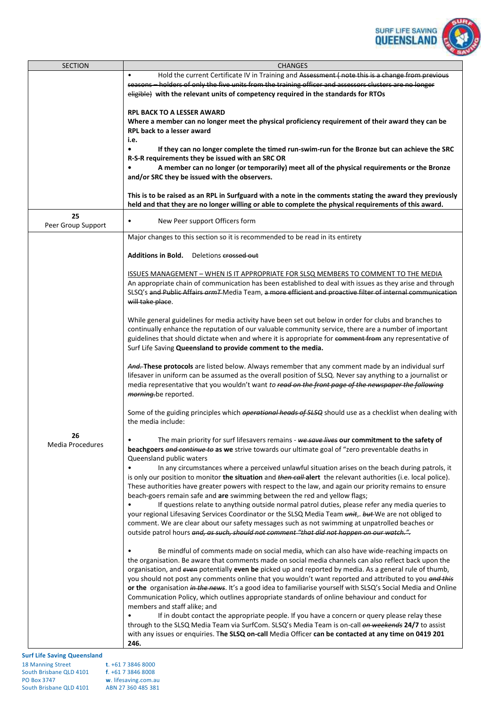

| <b>SECTION</b>                     | <b>CHANGES</b>                                                                                                                                                                                                                                                                                                                                                                                                                                                                                                                                                                                                                             |
|------------------------------------|--------------------------------------------------------------------------------------------------------------------------------------------------------------------------------------------------------------------------------------------------------------------------------------------------------------------------------------------------------------------------------------------------------------------------------------------------------------------------------------------------------------------------------------------------------------------------------------------------------------------------------------------|
|                                    | Hold the current Certificate IV in Training and Assessment (note this is a change from previous<br>$\bullet$<br>seasons - holders of only the five units from the training officer and assessors clusters are no longer<br>eligible) with the relevant units of competency required in the standards for RTOs                                                                                                                                                                                                                                                                                                                              |
|                                    | <b>RPL BACK TO A LESSER AWARD</b><br>Where a member can no longer meet the physical proficiency requirement of their award they can be<br><b>RPL back to a lesser award</b><br>i.e.                                                                                                                                                                                                                                                                                                                                                                                                                                                        |
|                                    | If they can no longer complete the timed run-swim-run for the Bronze but can achieve the SRC<br>R-S-R requirements they be issued with an SRC OR<br>A member can no longer (or temporarily) meet all of the physical requirements or the Bronze                                                                                                                                                                                                                                                                                                                                                                                            |
|                                    | and/or SRC they be issued with the observers.                                                                                                                                                                                                                                                                                                                                                                                                                                                                                                                                                                                              |
|                                    | This is to be raised as an RPL in Surfguard with a note in the comments stating the award they previously<br>held and that they are no longer willing or able to complete the physical requirements of this award.                                                                                                                                                                                                                                                                                                                                                                                                                         |
| 25<br>Peer Group Support           | New Peer support Officers form                                                                                                                                                                                                                                                                                                                                                                                                                                                                                                                                                                                                             |
|                                    | Major changes to this section so it is recommended to be read in its entirety                                                                                                                                                                                                                                                                                                                                                                                                                                                                                                                                                              |
|                                    | <b>Additions in Bold.</b><br>Deletions crossed out                                                                                                                                                                                                                                                                                                                                                                                                                                                                                                                                                                                         |
|                                    | ISSUES MANAGEMENT - WHEN IS IT APPROPRIATE FOR SLSQ MEMBERS TO COMMENT TO THE MEDIA<br>An appropriate chain of communication has been established to deal with issues as they arise and through<br>SLSQ's and Public Affairs armT Media Team, a more efficient and proactive filter of internal communication<br>will take place.                                                                                                                                                                                                                                                                                                          |
|                                    | While general guidelines for media activity have been set out below in order for clubs and branches to<br>continually enhance the reputation of our valuable community service, there are a number of important<br>guidelines that should dictate when and where it is appropriate for eomment from any representative of<br>Surf Life Saving Queensland to provide comment to the media.                                                                                                                                                                                                                                                  |
|                                    | And. These protocols are listed below. Always remember that any comment made by an individual surf<br>lifesaver in uniform can be assumed as the overall position of SLSQ. Never say anything to a journalist or<br>media representative that you wouldn't want to read on the front page of the newspaper the following<br>morning.be reported.                                                                                                                                                                                                                                                                                           |
|                                    | Some of the guiding principles which <i>eperational heads of SLSQ</i> should use as a checklist when dealing with<br>the media include:                                                                                                                                                                                                                                                                                                                                                                                                                                                                                                    |
| 26<br>Media Procedures             | The main priority for surf lifesavers remains - we save lives our commitment to the safety of<br>beachgoers and continue to as we strive towards our ultimate goal of "zero preventable deaths in<br>Queensland public waters                                                                                                                                                                                                                                                                                                                                                                                                              |
|                                    | In any circumstances where a perceived unlawful situation arises on the beach during patrols, it<br>is only our position to monitor the situation and then call alert the relevant authorities (i.e. local police).<br>These authorities have greater powers with respect to the law, and again our priority remains to ensure<br>beach-goers remain safe and are swimming between the red and yellow flags;                                                                                                                                                                                                                               |
|                                    | If questions relate to anything outside normal patrol duties, please refer any media queries to<br>your regional Lifesaving Services Coordinator or the SLSQ Media Team unit, but We are not obliged to<br>comment. We are clear about our safety messages such as not swimming at unpatrolled beaches or<br>outside patrol hours and, as such, should not comment "that did not happen on our watch.".                                                                                                                                                                                                                                    |
|                                    | Be mindful of comments made on social media, which can also have wide-reaching impacts on<br>the organisation. Be aware that comments made on social media channels can also reflect back upon the<br>organisation, and even potentially even be picked up and reported by media. As a general rule of thumb,<br>you should not post any comments online that you wouldn't want reported and attributed to you and this<br>or the organisation in the news. It's a good idea to familiarise yourself with SLSQ's Social Media and Online<br>Communication Policy, which outlines appropriate standards of online behaviour and conduct for |
| <b>Surf Life Saving Queensland</b> | members and staff alike; and<br>If in doubt contact the appropriate people. If you have a concern or query please relay these<br>through to the SLSQ Media Team via SurfCom. SLSQ's Media Team is on-call on weekends 24/7 to assist<br>with any issues or enquiries. The SLSQ on-call Media Officer can be contacted at any time on 0419 201<br>246.                                                                                                                                                                                                                                                                                      |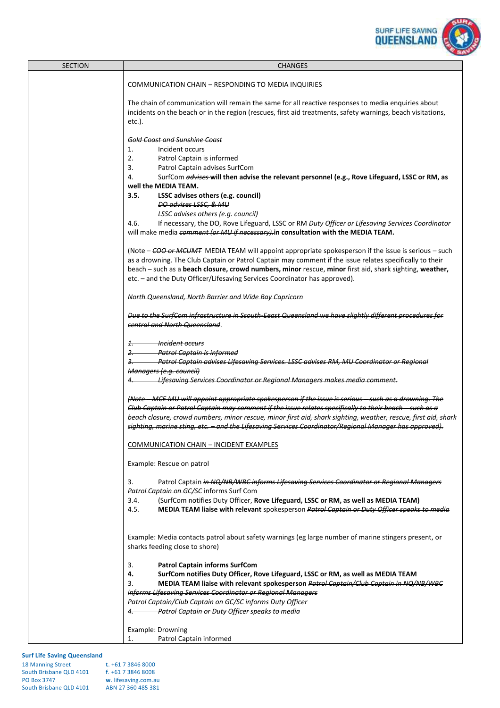

| <b>SECTION</b> | <b>CHANGES</b>                                                                                                                                                                                                                                                                                                                                                                                                                                                                                           |
|----------------|----------------------------------------------------------------------------------------------------------------------------------------------------------------------------------------------------------------------------------------------------------------------------------------------------------------------------------------------------------------------------------------------------------------------------------------------------------------------------------------------------------|
|                | COMMUNICATION CHAIN - RESPONDING TO MEDIA INQUIRIES                                                                                                                                                                                                                                                                                                                                                                                                                                                      |
|                | The chain of communication will remain the same for all reactive responses to media enquiries about<br>incidents on the beach or in the region (rescues, first aid treatments, safety warnings, beach visitations,<br>etc.).                                                                                                                                                                                                                                                                             |
|                | <b>Gold Coast and Sunshine Coast</b><br>Incident occurs<br>1.<br>2.<br>Patrol Captain is informed<br>3.<br>Patrol Captain advises SurfCom<br>4.<br>SurfCom advises will then advise the relevant personnel (e.g., Rove Lifeguard, LSSC or RM, as<br>well the MEDIA TEAM.<br>3.5.<br>LSSC advises others (e.g. council)<br>DO advises LSSC, & MU<br><b>LSSC advises others (e.g. council)</b><br>4.6.<br>If necessary, the DO, Rove Lifeguard, LSSC or RM Duty Officer or Lifesaving Services Coordinator |
|                | will make media comment (or MU if necessary) in consultation with the MEDIA TEAM.<br>(Note – COO or MCUMT MEDIA TEAM will appoint appropriate spokesperson if the issue is serious – such<br>as a drowning. The Club Captain or Patrol Captain may comment if the issue relates specifically to their<br>beach - such as a beach closure, crowd numbers, minor rescue, minor first aid, shark sighting, weather,<br>etc. - and the Duty Officer/Lifesaving Services Coordinator has approved).           |
|                | North Queensland, North Barrier and Wide Bay Capricorn                                                                                                                                                                                                                                                                                                                                                                                                                                                   |
|                | Due to the SurfCom infrastructure in Ssouth-Eeast Queensland we have slightly different procedures for<br>central and North Queensland.                                                                                                                                                                                                                                                                                                                                                                  |
|                | <del>Incident occurs</del><br>$1$ .<br>2. Patrol Captain is informed<br>Patrol Captain advises Lifesaving Services. LSSC advises RM, MU Coordinator or Regional<br><u>з.</u><br>Managers (e.g. council)                                                                                                                                                                                                                                                                                                  |
|                | Lifesaving Services Coordinator or Regional Managers makes media comment.<br>4.                                                                                                                                                                                                                                                                                                                                                                                                                          |
|                | (Note – MCE MU will appoint appropriate spokesperson if the issue is serious – such as a drowning. The<br>Club Captain or Patrol Captain may comment if the issue relates specifically to their beach - such as a<br>beach closure, crowd numbers, minor rescue, minor first aid, shark sighting, weather, rescue, first aid, shark<br>sighting, marine sting, etc. - and the Lifesaving Services Coordinator/Regional Manager has approved).                                                            |
|                | COMMUNICATION CHAIN - INCIDENT EXAMPLES                                                                                                                                                                                                                                                                                                                                                                                                                                                                  |
|                | Example: Rescue on patrol                                                                                                                                                                                                                                                                                                                                                                                                                                                                                |
|                | 3.<br>Patrol Captain in NQ/NB/WBC informs Lifesaving Services Coordinator or Regional Managers<br>Patrol Captain on GC/SC informs Surf Com<br>(SurfCom notifies Duty Officer, Rove Lifeguard, LSSC or RM, as well as MEDIA TEAM)<br>3.4.<br>MEDIA TEAM liaise with relevant spokesperson Patrol Captain or Duty Officer speaks to media<br>4.5.                                                                                                                                                          |
|                | Example: Media contacts patrol about safety warnings (eg large number of marine stingers present, or<br>sharks feeding close to shore)                                                                                                                                                                                                                                                                                                                                                                   |
|                | 3.<br><b>Patrol Captain informs SurfCom</b><br>4.<br>SurfCom notifies Duty Officer, Rove Lifeguard, LSSC or RM, as well as MEDIA TEAM<br>MEDIA TEAM liaise with relevant spokesperson Patrol Captain/Club Captain in NQ/NB/WBC<br>3.<br>informs Lifesaving Services Coordinator or Regional Managers<br>Patrol Captain/Club Captain on GC/SC informs Duty Officer<br>4. Patrol Captain or Duty Officer speaks to media                                                                                   |
|                | Example: Drowning<br>Patrol Captain informed<br>1.                                                                                                                                                                                                                                                                                                                                                                                                                                                       |

| <b>18 Manning Street</b> | $t. +61738468000$    |
|--------------------------|----------------------|
| South Brisbane QLD 4101  | f. +61 7 3846 8008   |
| <b>PO Box 3747</b>       | w. lifesaving.com.au |
| South Brisbane QLD 4101  | ABN 27 360 485 381   |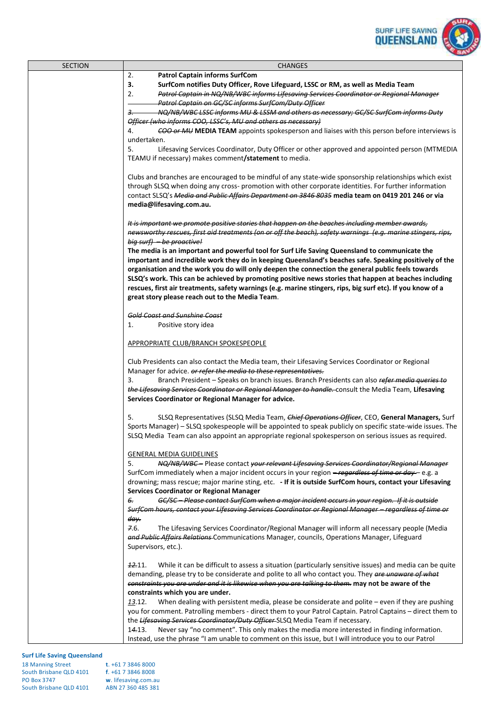

| <b>SECTION</b> | <b>CHANGES</b>                                                                                                                                                                                                  |
|----------------|-----------------------------------------------------------------------------------------------------------------------------------------------------------------------------------------------------------------|
|                | 2.<br><b>Patrol Captain informs SurfCom</b>                                                                                                                                                                     |
|                | 3.<br>SurfCom notifies Duty Officer, Rove Lifeguard, LSSC or RM, as well as Media Team                                                                                                                          |
|                | Patrol Captain in NQ/NB/WBC informs Lifesaving Services Coordinator or Regional Manager<br>2.<br>Patrol Captain on GC/SC informs SurfCom/Duty Officer                                                           |
|                | NQ/NB/WBC LSSC informs MU & LSSM and others as necessary; GC/SC SurfCom informs Duty<br>3.                                                                                                                      |
|                | Officer (who informs COO, LSSC's, MU and others as necessary)                                                                                                                                                   |
|                | COO or MU MEDIA TEAM appoints spokesperson and liaises with this person before interviews is<br>4.                                                                                                              |
|                | undertaken.                                                                                                                                                                                                     |
|                | Lifesaving Services Coordinator, Duty Officer or other approved and appointed person (MTMEDIA<br>5.                                                                                                             |
|                | TEAMU if necessary) makes comment/statement to media.                                                                                                                                                           |
|                | Clubs and branches are encouraged to be mindful of any state-wide sponsorship relationships which exist                                                                                                         |
|                | through SLSQ when doing any cross- promotion with other corporate identities. For further information                                                                                                           |
|                | contact SLSQ's Media and Public Affairs Department on 3846 8035 media team on 0419 201 246 or via                                                                                                               |
|                | media@lifesaving.com.au.                                                                                                                                                                                        |
|                |                                                                                                                                                                                                                 |
|                | It is important we promote positive stories that happen on the beaches including member awards,                                                                                                                 |
|                | newsworthy rescues, first aid treatments (on or off the beach), safety warnings (e.g. marine stingers, rips,                                                                                                    |
|                | big surf) - be proactive!<br>The media is an important and powerful tool for Surf Life Saving Queensland to communicate the                                                                                     |
|                | important and incredible work they do in keeping Queensland's beaches safe. Speaking positively of the                                                                                                          |
|                | organisation and the work you do will only deepen the connection the general public feels towards                                                                                                               |
|                | SLSQ's work. This can be achieved by promoting positive news stories that happen at beaches including                                                                                                           |
|                | rescues, first air treatments, safety warnings (e.g. marine stingers, rips, big surf etc). If you know of a                                                                                                     |
|                | great story please reach out to the Media Team.                                                                                                                                                                 |
|                |                                                                                                                                                                                                                 |
|                | <b>Gold Coast and Sunshine Coast</b><br>Positive story idea<br>1.                                                                                                                                               |
|                |                                                                                                                                                                                                                 |
|                | APPROPRIATE CLUB/BRANCH SPOKESPEOPLE                                                                                                                                                                            |
|                |                                                                                                                                                                                                                 |
|                | Club Presidents can also contact the Media team, their Lifesaving Services Coordinator or Regional                                                                                                              |
|                | Manager for advice. or refer the media to these representatives.                                                                                                                                                |
|                | Branch President - Speaks on branch issues. Branch Presidents can also refer media queries to<br>3.                                                                                                             |
|                | the Lifesaving Services Coordinator or Regional Manager to handle. consult the Media Team, Lifesaving<br>Services Coordinator or Regional Manager for advice.                                                   |
|                |                                                                                                                                                                                                                 |
|                | SLSQ Representatives (SLSQ Media Team, Chief Operations Officer, CEO, General Managers, Surf<br>5.                                                                                                              |
|                | Sports Manager) - SLSQ spokespeople will be appointed to speak publicly on specific state-wide issues. The                                                                                                      |
|                | SLSQ Media Team can also appoint an appropriate regional spokesperson on serious issues as required.                                                                                                            |
|                |                                                                                                                                                                                                                 |
|                | <b>GENERAL MEDIA GUIDELINES</b><br>NQ/NB/WBC- Please contact your relevant Lifesaving Services Coordinator/Regional Manager<br>5.                                                                               |
|                | SurfCom immediately when a major incident occurs in your region -regardless of time or day - e.g. a                                                                                                             |
|                | drowning; mass rescue; major marine sting, etc. - If it is outside SurfCom hours, contact your Lifesaving                                                                                                       |
|                | <b>Services Coordinator or Regional Manager</b>                                                                                                                                                                 |
|                | GC/SC-Please contact SurfCom when a major incident occurs in your region. If it is outside<br>6.                                                                                                                |
|                | SurfCom hours, contact your Lifesaving Services Coordinator or Regional Manager - regardless of time or                                                                                                         |
|                | day.<br>7.6.                                                                                                                                                                                                    |
|                | The Lifesaving Services Coordinator/Regional Manager will inform all necessary people (Media<br>and Public Affairs Relations-Communications Manager, councils, Operations Manager, Lifeguard                    |
|                | Supervisors, etc.).                                                                                                                                                                                             |
|                |                                                                                                                                                                                                                 |
|                | <b>12.11.</b><br>While it can be difficult to assess a situation (particularly sensitive issues) and media can be quite                                                                                         |
|                | demanding, please try to be considerate and polite to all who contact you. They are unaware of what                                                                                                             |
|                | constraints you are under and it is likewise when you are talking to them. may not be aware of the                                                                                                              |
|                | constraints which you are under.<br>13.12.                                                                                                                                                                      |
|                | When dealing with persistent media, please be considerate and polite $-$ even if they are pushing<br>you for comment. Patrolling members - direct them to your Patrol Captain. Patrol Captains - direct them to |
|                | the Lifesaving Services Coordinator/Duty Officer-SLSQ Media Team if necessary.                                                                                                                                  |
|                | Never say "no comment". This only makes the media more interested in finding information.<br>14.13.                                                                                                             |
|                | Instead, use the phrase "I am unable to comment on this issue, but I will introduce you to our Patrol                                                                                                           |

| <b>18 Manning Street</b> | $t. +61738468000$    |
|--------------------------|----------------------|
| South Brisbane QLD 4101  | $f. +61738468008$    |
| <b>PO Box 3747</b>       | w. lifesaving.com.au |
| South Brisbane QLD 4101  | ABN 27 360 485 381   |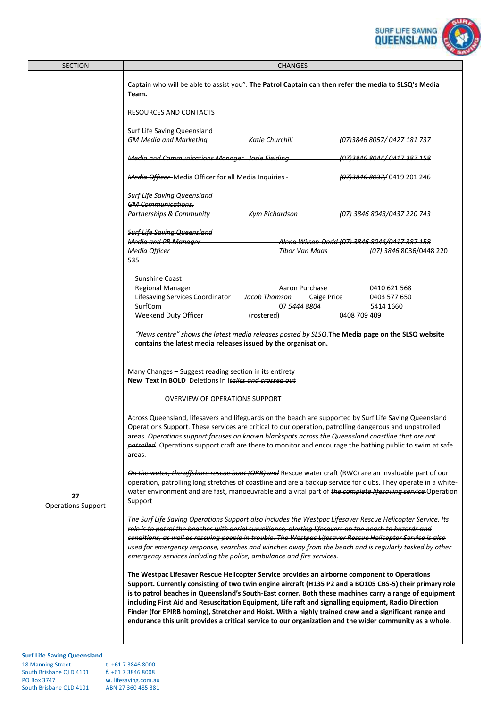

| <b>SECTION</b>                  | <b>CHANGES</b>                                                                                                                                                                                                                                                                                                                                                                                                                                                                                                                                                                                                                                  |  |  |
|---------------------------------|-------------------------------------------------------------------------------------------------------------------------------------------------------------------------------------------------------------------------------------------------------------------------------------------------------------------------------------------------------------------------------------------------------------------------------------------------------------------------------------------------------------------------------------------------------------------------------------------------------------------------------------------------|--|--|
|                                 | Captain who will be able to assist you". The Patrol Captain can then refer the media to SLSQ's Media<br>Team.                                                                                                                                                                                                                                                                                                                                                                                                                                                                                                                                   |  |  |
|                                 | RESOURCES AND CONTACTS                                                                                                                                                                                                                                                                                                                                                                                                                                                                                                                                                                                                                          |  |  |
|                                 | Surf Life Saving Queensland<br><b>GM Media and Marketing The Charles Churchill CAM</b><br>(07) 3846 8057 / 0427 181 737                                                                                                                                                                                                                                                                                                                                                                                                                                                                                                                         |  |  |
|                                 |                                                                                                                                                                                                                                                                                                                                                                                                                                                                                                                                                                                                                                                 |  |  |
|                                 | <b>Media and Communications Manager Josie Fielding</b><br>(07) 3846 8044 / 0417 387 158                                                                                                                                                                                                                                                                                                                                                                                                                                                                                                                                                         |  |  |
|                                 | Media Officer-Media Officer for all Media Inquiries -<br>(07) 3846 8037 0419 201 246                                                                                                                                                                                                                                                                                                                                                                                                                                                                                                                                                            |  |  |
|                                 | <b>Surf Life Saving Queensland</b>                                                                                                                                                                                                                                                                                                                                                                                                                                                                                                                                                                                                              |  |  |
|                                 | <b>GM Communications,</b>                                                                                                                                                                                                                                                                                                                                                                                                                                                                                                                                                                                                                       |  |  |
|                                 | Partnerships & Community The Kym Richardson<br>(07) 3846 8043/0437 220 743                                                                                                                                                                                                                                                                                                                                                                                                                                                                                                                                                                      |  |  |
|                                 | <b>Surf Life Saving Queensland</b>                                                                                                                                                                                                                                                                                                                                                                                                                                                                                                                                                                                                              |  |  |
|                                 | Media and PR Manager<br>Alena Wilson-Dodd (07) 3846 8044/0417 387 158                                                                                                                                                                                                                                                                                                                                                                                                                                                                                                                                                                           |  |  |
|                                 | Tiber Van Maas (07) 3846 8036/0448 220<br>Media Officer <b>Contract Contract Contract Contract</b>                                                                                                                                                                                                                                                                                                                                                                                                                                                                                                                                              |  |  |
|                                 | 535                                                                                                                                                                                                                                                                                                                                                                                                                                                                                                                                                                                                                                             |  |  |
|                                 | <b>Sunshine Coast</b>                                                                                                                                                                                                                                                                                                                                                                                                                                                                                                                                                                                                                           |  |  |
|                                 | Regional Manager<br>Aaron Purchase<br>0410 621 568                                                                                                                                                                                                                                                                                                                                                                                                                                                                                                                                                                                              |  |  |
|                                 | Lifesaving Services Coordinator<br>Jacob Thomson - Caige Price<br>0403 577 650                                                                                                                                                                                                                                                                                                                                                                                                                                                                                                                                                                  |  |  |
|                                 | SurfCom<br>07 <del>5444 8804</del><br>5414 1660                                                                                                                                                                                                                                                                                                                                                                                                                                                                                                                                                                                                 |  |  |
|                                 | Weekend Duty Officer<br>(rostered)<br>0408 709 409                                                                                                                                                                                                                                                                                                                                                                                                                                                                                                                                                                                              |  |  |
|                                 | <i>"News centre" shows the latest media releases posted by SLSQ</i> . The Media page on the SLSQ website                                                                                                                                                                                                                                                                                                                                                                                                                                                                                                                                        |  |  |
|                                 | contains the latest media releases issued by the organisation.                                                                                                                                                                                                                                                                                                                                                                                                                                                                                                                                                                                  |  |  |
|                                 |                                                                                                                                                                                                                                                                                                                                                                                                                                                                                                                                                                                                                                                 |  |  |
|                                 | Many Changes - Suggest reading section in its entirety<br>New Text in BOLD Deletions in Italics and crossed out                                                                                                                                                                                                                                                                                                                                                                                                                                                                                                                                 |  |  |
|                                 | OVERVIEW OF OPERATIONS SUPPORT                                                                                                                                                                                                                                                                                                                                                                                                                                                                                                                                                                                                                  |  |  |
| 27<br><b>Operations Support</b> | Across Queensland, lifesavers and lifeguards on the beach are supported by Surf Life Saving Queensland<br>Operations Support. These services are critical to our operation, patrolling dangerous and unpatrolled<br>areas. Operations support focuses on known blackspots across the Queensland coastline that are not<br>patrolled. Operations support craft are there to monitor and encourage the bathing public to swim at safe<br>areas.                                                                                                                                                                                                   |  |  |
|                                 | On the water, the offshore rescue boat (ORB) and Rescue water craft (RWC) are an invaluable part of our<br>operation, patrolling long stretches of coastline and are a backup service for clubs. They operate in a white-<br>water environment and are fast, manoeuvrable and a vital part of the complete lifesaving service-Operation<br>Support                                                                                                                                                                                                                                                                                              |  |  |
|                                 | The Surf Life Saving Operations Support also includes the Westpac Lifesaver Rescue Helicopter Service. Its<br>role is to patrol the beaches with aerial surveillance, alerting lifesavers on the beach to hazards and<br>conditions, as well as rescuing people in trouble. The Westpac Lifesaver Rescue Helicopter Service is also<br>used for emergency response, searches and winches away from the beach and is regularly tasked by other                                                                                                                                                                                                   |  |  |
|                                 | emergency services including the police, ambulance and fire services.                                                                                                                                                                                                                                                                                                                                                                                                                                                                                                                                                                           |  |  |
|                                 | The Westpac Lifesaver Rescue Helicopter Service provides an airborne component to Operations<br>Support. Currently consisting of two twin engine aircraft (H135 P2 and a BO105 CBS-5) their primary role<br>is to patrol beaches in Queensland's South-East corner. Both these machines carry a range of equipment<br>including First Aid and Resuscitation Equipment, Life raft and signalling equipment, Radio Direction<br>Finder (for EPIRB homing), Stretcher and Hoist. With a highly trained crew and a significant range and<br>endurance this unit provides a critical service to our organization and the wider community as a whole. |  |  |
|                                 |                                                                                                                                                                                                                                                                                                                                                                                                                                                                                                                                                                                                                                                 |  |  |

| <b>18 Manning Street</b> | t. $+61$ 7 3846 8000 |
|--------------------------|----------------------|
| South Brisbane QLD 4101  | $f. +61738468008$    |
| <b>PO Box 3747</b>       | w. lifesaving.com.au |
| South Brisbane QLD 4101  | ABN 27 360 485 381   |
|                          |                      |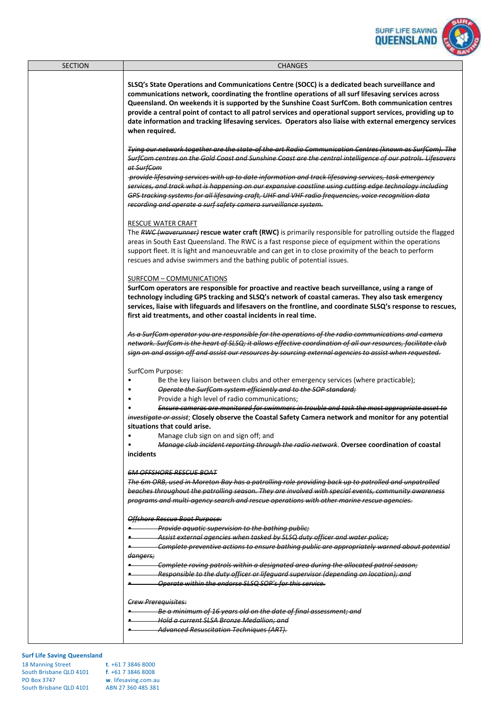

| <b>SECTION</b>                     | <b>CHANGES</b>                                                                                                                                                                                                                                                                                                                                                                                                                                                                                                                                                                                                                        |
|------------------------------------|---------------------------------------------------------------------------------------------------------------------------------------------------------------------------------------------------------------------------------------------------------------------------------------------------------------------------------------------------------------------------------------------------------------------------------------------------------------------------------------------------------------------------------------------------------------------------------------------------------------------------------------|
|                                    | SLSQ's State Operations and Communications Centre (SOCC) is a dedicated beach surveillance and<br>communications network, coordinating the frontline operations of all surf lifesaving services across<br>Queensland. On weekends it is supported by the Sunshine Coast SurfCom. Both communication centres<br>provide a central point of contact to all patrol services and operational support services, providing up to<br>date information and tracking lifesaving services. Operators also liaise with external emergency services<br>when required.                                                                             |
|                                    | Tying our network together are the state-of the-art Radio Communication Centres (known as SurfCom). The<br>SurfCom centres on the Gold Coast and Sunshine Coast are the central intelligence of our patrols. Lifesavers<br>at SurfCom<br>provide lifesaving services with up to date information and track lifesaving services, task emergency<br>services, and track what is happening on our expansive coastline using cutting edge technology including<br>GPS tracking systems for all lifesaving craft, UHF and VHF radio frequencies, voice recognition data<br>recording and operate a surf safety camera surveillance system. |
|                                    | <b>RESCUE WATER CRAFT</b><br>The RWC (waverunner) rescue water craft (RWC) is primarily responsible for patrolling outside the flagged<br>areas in South East Queensland. The RWC is a fast response piece of equipment within the operations<br>support fleet. It is light and manoeuvrable and can get in to close proximity of the beach to perform<br>rescues and advise swimmers and the bathing public of potential issues.                                                                                                                                                                                                     |
|                                    | SURFCOM - COMMUNICATIONS<br>SurfCom operators are responsible for proactive and reactive beach surveillance, using a range of<br>technology including GPS tracking and SLSQ's network of coastal cameras. They also task emergency<br>services, liaise with lifeguards and lifesavers on the frontline, and coordinate SLSQ's response to rescues,<br>first aid treatments, and other coastal incidents in real time.                                                                                                                                                                                                                 |
|                                    | As a SurfCom operator you are responsible for the operations of the radio communications and camera<br>network. SurfCom is the heart of SLSQ; it allows effective coordination of all our resources, facilitate club<br>sign on and assign off and assist our resources by sourcing external agencies to assist when requested.                                                                                                                                                                                                                                                                                                       |
|                                    | SurfCom Purpose:<br>Be the key liaison between clubs and other emergency services (where practicable);<br>Operate the SurfCom system efficiently and to the SOP standard;<br>Provide a high level of radio communications;<br>٠<br>Ensure cameras are monitored for swimmers in trouble and task the most appropriate asset to<br>investigate or assist; Closely observe the Coastal Safety Camera network and monitor for any potential<br>situations that could arise.                                                                                                                                                              |
|                                    | Manage club sign on and sign off; and<br>$\bullet$<br>Manage club incident reporting through the radio network. Oversee coordination of coastal<br>$\bullet$<br>incidents                                                                                                                                                                                                                                                                                                                                                                                                                                                             |
|                                    | <b>6M OFFSHORE RESCUE BOAT</b><br>The 6m ORB, used in Moreton Bay has a patrolling role providing back up to patrolled and unpatrolled<br>beaches throughout the patrolling season. They are involved with special events, community awareness<br>programs and multi-agency search and rescue operations with other marine rescue agencies.                                                                                                                                                                                                                                                                                           |
|                                    | Offshore Rescue Boat Purpose:<br><b>Example 2</b> Provide aquatic supervision to the bathing public;<br>Assist external agencies when tasked by SLSQ duty officer and water police;<br>Complete preventive actions to ensure bathing public are appropriately warned about potential<br><del>dangers;</del>                                                                                                                                                                                                                                                                                                                           |
|                                    | Complete roving patrols within a designated area during the allocated patrol season;<br>Responsible to the duty officer or lifeguard supervisor (depending on location); and<br>Operate within the endorse SLSQ SOP's for this service.                                                                                                                                                                                                                                                                                                                                                                                               |
|                                    | <b>Crew Prerequisites:</b><br>Be a minimum of 16 years old on the date of final assessment; and<br>Hold a current SLSA Bronze Medallion; and<br>Advanced Resuscitation Techniques (ART).                                                                                                                                                                                                                                                                                                                                                                                                                                              |
| <b>Surf Life Saving Queensland</b> |                                                                                                                                                                                                                                                                                                                                                                                                                                                                                                                                                                                                                                       |

| <b>18 Manning Street</b> | $t. +61738468000$    |
|--------------------------|----------------------|
| South Brisbane QLD 4101  | $f. +61738468008$    |
| <b>PO Box 3747</b>       | w. lifesaving.com.au |
| South Brisbane QLD 4101  | ABN 27 360 485 381   |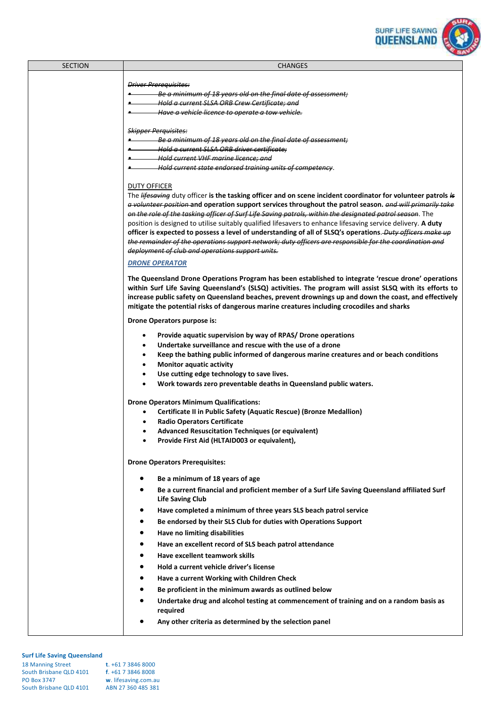

| SECTION | <b>CHANGES</b>                                                                                                                                                                                                        |
|---------|-----------------------------------------------------------------------------------------------------------------------------------------------------------------------------------------------------------------------|
|         |                                                                                                                                                                                                                       |
|         | <b>Driver Prerequisites:</b>                                                                                                                                                                                          |
|         | Be a minimum of 18 years old on the final date of assessment;                                                                                                                                                         |
|         | + Hold a current SLSA ORB Crew Certificate; and                                                                                                                                                                       |
|         | Have a vehicle licence to operate a tow vehicle.                                                                                                                                                                      |
|         |                                                                                                                                                                                                                       |
|         | <b>Skipper Perquisites:</b>                                                                                                                                                                                           |
|         | Be a minimum of 18 years old on the final date of assessment;                                                                                                                                                         |
|         | A Hold a current SLSA ORB driver certificate:                                                                                                                                                                         |
|         | + Hold current VHF marine licence; and                                                                                                                                                                                |
|         | Hold current state endorsed training units of competency.                                                                                                                                                             |
|         |                                                                                                                                                                                                                       |
|         | DUTY OFFICER                                                                                                                                                                                                          |
|         | The lifesaving duty officer is the tasking officer and on scene incident coordinator for volunteer patrols is                                                                                                         |
|         | a volunteer position and operation support services throughout the patrol season. and will primarily take                                                                                                             |
|         | on the role of the tasking officer of Surf Life Saving patrols, within the designated patrol season. The                                                                                                              |
|         | position is designed to utilise suitably qualified lifesavers to enhance lifesaving service delivery. A duty                                                                                                          |
|         | officer is expected to possess a level of understanding of all of SLSQ's operations. Duty officers make up<br>the remainder of the operations support network; duty officers are responsible for the coordination and |
|         |                                                                                                                                                                                                                       |
|         | deployment of club and operations support units.                                                                                                                                                                      |
|         | <b>DRONE OPERATOR</b>                                                                                                                                                                                                 |
|         | The Queensland Drone Operations Program has been established to integrate 'rescue drone' operations                                                                                                                   |
|         | within Surf Life Saving Queensland's (SLSQ) activities. The program will assist SLSQ with its efforts to                                                                                                              |
|         | increase public safety on Queensland beaches, prevent drownings up and down the coast, and effectively                                                                                                                |
|         | mitigate the potential risks of dangerous marine creatures including crocodiles and sharks                                                                                                                            |
|         |                                                                                                                                                                                                                       |
|         | Drone Operators purpose is:                                                                                                                                                                                           |
|         | Provide aquatic supervision by way of RPAS/ Drone operations                                                                                                                                                          |
|         | Undertake surveillance and rescue with the use of a drone                                                                                                                                                             |
|         |                                                                                                                                                                                                                       |
|         | Keep the bathing public informed of dangerous marine creatures and or beach conditions                                                                                                                                |
|         | <b>Monitor aquatic activity</b><br>$\bullet$                                                                                                                                                                          |
|         | Use cutting edge technology to save lives.                                                                                                                                                                            |
|         | Work towards zero preventable deaths in Queensland public waters.                                                                                                                                                     |
|         | <b>Drone Operators Minimum Qualifications:</b>                                                                                                                                                                        |
|         | Certificate II in Public Safety (Aquatic Rescue) (Bronze Medallion)                                                                                                                                                   |
|         | <b>Radio Operators Certificate</b>                                                                                                                                                                                    |
|         | <b>Advanced Resuscitation Techniques (or equivalent)</b>                                                                                                                                                              |
|         | Provide First Aid (HLTAID003 or equivalent),                                                                                                                                                                          |
|         |                                                                                                                                                                                                                       |
|         |                                                                                                                                                                                                                       |
|         | <b>Drone Operators Prerequisites:</b>                                                                                                                                                                                 |
|         | Be a minimum of 18 years of age                                                                                                                                                                                       |
|         | Be a current financial and proficient member of a Surf Life Saving Queensland affiliated Surf                                                                                                                         |
|         | <b>Life Saving Club</b>                                                                                                                                                                                               |
|         |                                                                                                                                                                                                                       |
|         | Have completed a minimum of three years SLS beach patrol service                                                                                                                                                      |
|         | Be endorsed by their SLS Club for duties with Operations Support<br>٠                                                                                                                                                 |
|         | Have no limiting disabilities                                                                                                                                                                                         |
|         | Have an excellent record of SLS beach patrol attendance                                                                                                                                                               |
|         | Have excellent teamwork skills                                                                                                                                                                                        |
|         |                                                                                                                                                                                                                       |
|         | Hold a current vehicle driver's license<br>٠                                                                                                                                                                          |
|         | Have a current Working with Children Check                                                                                                                                                                            |
|         | Be proficient in the minimum awards as outlined below                                                                                                                                                                 |
|         | Undertake drug and alcohol testing at commencement of training and on a random basis as                                                                                                                               |
|         | required                                                                                                                                                                                                              |
|         | Any other criteria as determined by the selection panel                                                                                                                                                               |
|         |                                                                                                                                                                                                                       |
|         |                                                                                                                                                                                                                       |

| <b>18 Manning Street</b> | $t. +61738468000$    |
|--------------------------|----------------------|
| South Brisbane QLD 4101  | $f. +61738468008$    |
| <b>PO Box 3747</b>       | w. lifesaving.com.au |
| South Brisbane QLD 4101  | ABN 27 360 485 381   |